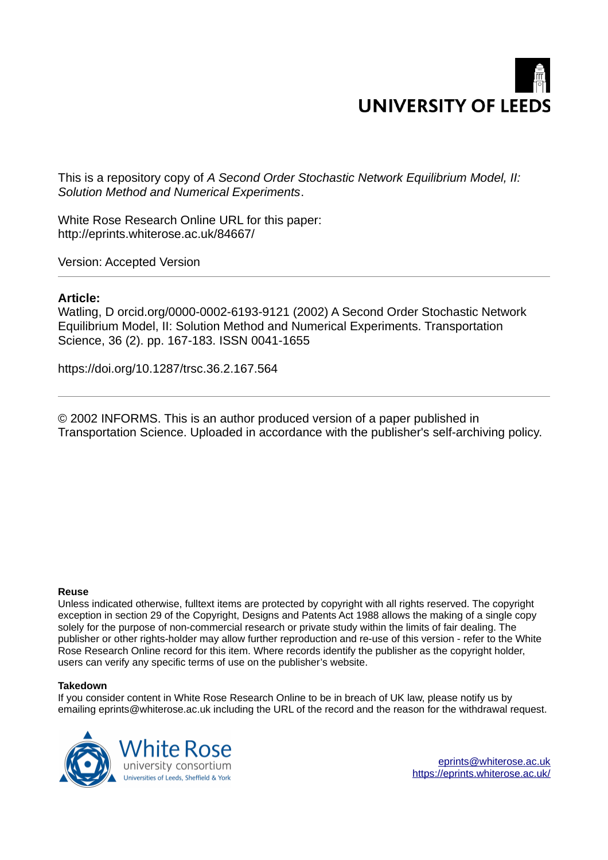

This is a repository copy of *A Second Order Stochastic Network Equilibrium Model, II: Solution Method and Numerical Experiments*.

White Rose Research Online URL for this paper: http://eprints.whiterose.ac.uk/84667/

Version: Accepted Version

# **Article:**

Watling, D orcid.org/0000-0002-6193-9121 (2002) A Second Order Stochastic Network Equilibrium Model, II: Solution Method and Numerical Experiments. Transportation Science, 36 (2). pp. 167-183. ISSN 0041-1655

https://doi.org/10.1287/trsc.36.2.167.564

© 2002 INFORMS. This is an author produced version of a paper published in Transportation Science. Uploaded in accordance with the publisher's self-archiving policy.

#### **Reuse**

Unless indicated otherwise, fulltext items are protected by copyright with all rights reserved. The copyright exception in section 29 of the Copyright, Designs and Patents Act 1988 allows the making of a single copy solely for the purpose of non-commercial research or private study within the limits of fair dealing. The publisher or other rights-holder may allow further reproduction and re-use of this version - refer to the White Rose Research Online record for this item. Where records identify the publisher as the copyright holder, users can verify any specific terms of use on the publisher's website.

#### **Takedown**

If you consider content in White Rose Research Online to be in breach of UK law, please notify us by emailing eprints@whiterose.ac.uk including the URL of the record and the reason for the withdrawal request.

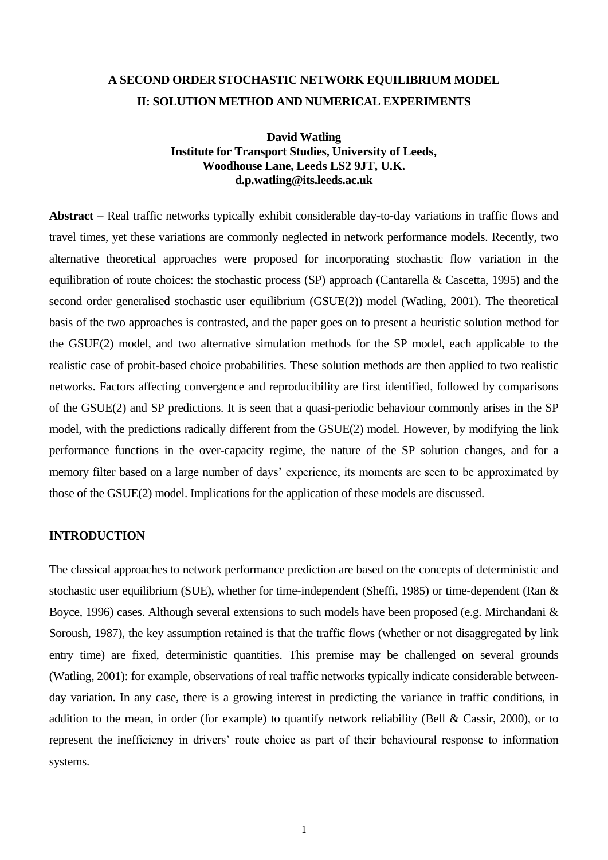# **A SECOND ORDER STOCHASTIC NETWORK EQUILIBRIUM MODEL II: SOLUTION METHOD AND NUMERICAL EXPERIMENTS**

# **David Watling Institute for Transport Studies, University of Leeds, Woodhouse Lane, Leeds LS2 9JT, U.K. d.p.watling@its.leeds.ac.uk**

**Abstract –** Real traffic networks typically exhibit considerable day-to-day variations in traffic flows and travel times, yet these variations are commonly neglected in network performance models. Recently, two alternative theoretical approaches were proposed for incorporating stochastic flow variation in the equilibration of route choices: the stochastic process (SP) approach (Cantarella & Cascetta, 1995) and the second order generalised stochastic user equilibrium (GSUE(2)) model (Watling, 2001). The theoretical basis of the two approaches is contrasted, and the paper goes on to present a heuristic solution method for the GSUE(2) model, and two alternative simulation methods for the SP model, each applicable to the realistic case of probit-based choice probabilities. These solution methods are then applied to two realistic networks. Factors affecting convergence and reproducibility are first identified, followed by comparisons of the GSUE(2) and SP predictions. It is seen that a quasi-periodic behaviour commonly arises in the SP model, with the predictions radically different from the GSUE(2) model. However, by modifying the link performance functions in the over-capacity regime, the nature of the SP solution changes, and for a memory filter based on a large number of days' experience, its moments are seen to be approximated by those of the GSUE(2) model. Implications for the application of these models are discussed.

# **INTRODUCTION**

The classical approaches to network performance prediction are based on the concepts of deterministic and stochastic user equilibrium (SUE), whether for time-independent (Sheffi, 1985) or time-dependent (Ran & Boyce, 1996) cases. Although several extensions to such models have been proposed (e.g. Mirchandani & Soroush, 1987), the key assumption retained is that the traffic flows (whether or not disaggregated by link entry time) are fixed, deterministic quantities. This premise may be challenged on several grounds (Watling, 2001): for example, observations of real traffic networks typically indicate considerable betweenday variation. In any case, there is a growing interest in predicting the variance in traffic conditions, in addition to the mean, in order (for example) to quantify network reliability (Bell & Cassir, 2000), or to represent the inefficiency in drivers' route choice as part of their behavioural response to information systems.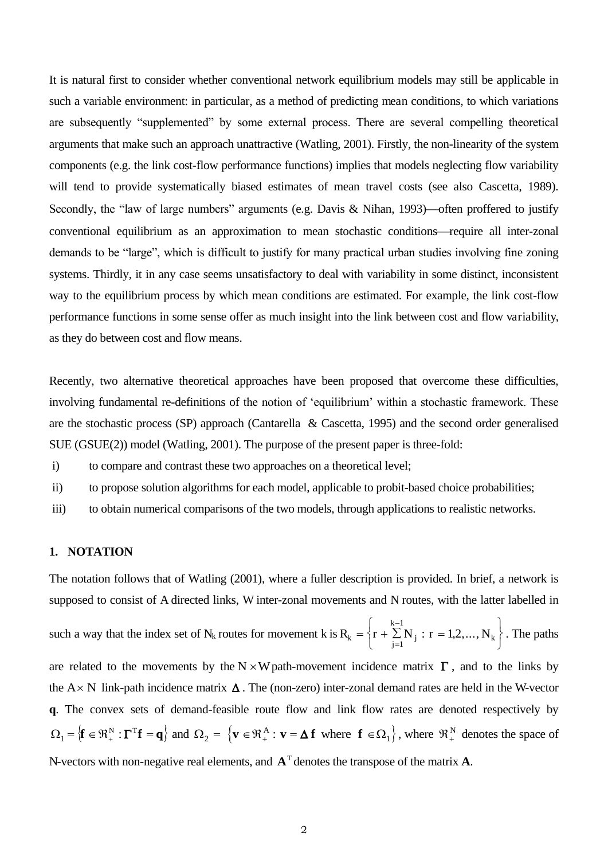It is natural first to consider whether conventional network equilibrium models may still be applicable in such a variable environment: in particular, as a method of predicting mean conditions, to which variations are subsequently "supplemented" by some external process. There are several compelling theoretical arguments that make such an approach unattractive (Watling, 2001). Firstly, the non-linearity of the system components (e.g. the link cost-flow performance functions) implies that models neglecting flow variability will tend to provide systematically biased estimates of mean travel costs (see also Cascetta, 1989). Secondly, the "law of large numbers" arguments (e.g. Davis  $\&$  Nihan, 1993)—often proffered to justify conventional equilibrium as an approximation to mean stochastic conditions—require all inter-zonal demands to be "large", which is difficult to justify for many practical urban studies involving fine zoning systems. Thirdly, it in any case seems unsatisfactory to deal with variability in some distinct, inconsistent way to the equilibrium process by which mean conditions are estimated. For example, the link cost-flow performance functions in some sense offer as much insight into the link between cost and flow variability, as they do between cost and flow means.

Recently, two alternative theoretical approaches have been proposed that overcome these difficulties, involving fundamental re-definitions of the notion of 'equilibrium' within a stochastic framework. These are the stochastic process (SP) approach (Cantarella & Cascetta, 1995) and the second order generalised SUE (GSUE(2)) model (Watling, 2001). The purpose of the present paper is three-fold:

- i) to compare and contrast these two approaches on a theoretical level;
- ii) to propose solution algorithms for each model, applicable to probit-based choice probabilities;
- iii) to obtain numerical comparisons of the two models, through applications to realistic networks.

# **1. NOTATION**

The notation follows that of Watling (2001), where a fuller description is provided. In brief, a network is supposed to consist of A directed links, W inter-zonal movements and N routes, with the latter labelled in such a way that the index set of N<sub>k</sub> routes for movement k is  $R_k = \left\{r + \sum_{j=1}^{n} N_j : r = 1, 2, ..., N_k\right\}$  $=\begin{cases} r + \sum_{i=1}^{k-1} N_i : r = 1 \end{cases}$  $\int$ ┤  $\overline{\mathcal{L}}$  $\vert$  $\left\{ \right\}$  $=1$   $\left[1\right]$ -:  $r = 1,2$ 1 1  $, 2, ..., N_k$ . The paths are related to the movements by the N  $\times$ W path-movement incidence matrix  $\Gamma$ , and to the links by the  $A \times N$  link-path incidence matrix  $\Delta$ . The (non-zero) inter-zonal demand rates are held in the W-vector **q**. The convex sets of demand-feasible route flow and link flow rates are denoted respectively by  $\Omega_1 = \{ \mathbf{f} \in \mathbb{R}^N_+ : \Gamma^T \mathbf{f} = \mathbf{q} \}$  and  $\Omega_2 = \{ \mathbf{v} \in \mathbb{R}^A_+ : \mathbf{v} = \mathbf{\Delta} \mathbf{f} \text{ where } \mathbf{f} \in \Omega_1 \}$ , where  $\mathbb{R}^N_+$  denotes the space of N-vectors with non-negative real elements, and  $A<sup>T</sup>$  denotes the transpose of the matrix A.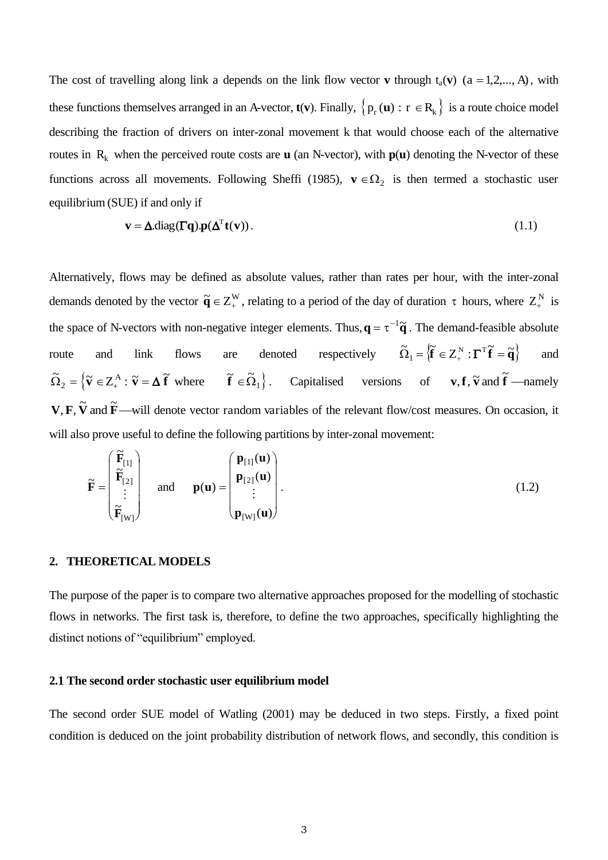The cost of travelling along link a depends on the link flow vector **v** through  $t_a$ (**v**) ( $a = 1, 2, ..., A$ ), with these functions themselves arranged in an A-vector,  $\mathbf{t}(v)$ . Finally,  $\{p_r(\mathbf{u}) : r \in R_k\}$  is a route choice model describing the fraction of drivers on inter-zonal movement k that would choose each of the alternative routes in  $R_k$  when the perceived route costs are **u** (an N-vector), with  $p(u)$  denoting the N-vector of these functions across all movements. Following Sheffi (1985),  $\mathbf{v} \in \Omega_2$  is then termed a stochastic user equilibrium (SUE) if and only if

$$
\mathbf{v} = \Delta \text{diag}(\Gamma \mathbf{q}) \cdot \mathbf{p}(\Delta^{\mathrm{T}} \mathbf{t}(\mathbf{v})). \tag{1.1}
$$

Alternatively, flows may be defined as absolute values, rather than rates per hour, with the inter-zonal demands denoted by the vector  $\tilde{\mathbf{q}} \in Z^W_+$ , relating to a period of the day of duration  $\tau$  hours, where  $Z^N_+$  $\sum_{i=1}^{N}$  is the space of N-vectors with non-negative integer elements. Thus,  $\mathbf{q} = \tau^{-1}\tilde{\mathbf{q}}$ . The demand-feasible absolute route and link flows are denoted respectively  $\tilde{\Omega}_1 = \{ \tilde{\mathbf{f}} \in \mathbb{Z}_+^N : \mathbf{\Gamma}^T \tilde{\mathbf{f}} = \tilde{\mathbf{q}} \}$  and  $\tilde{\Omega}_2 = \left\{ \tilde{\mathbf{v}} \in \mathbb{Z}_+^{\mathcal{A}} : \tilde{\mathbf{v}} = \Delta \tilde{\mathbf{f}} \text{ where } \tilde{\mathbf{f}} \in \tilde{\Omega}_1 \right\}.$  Capitalised versions of **v**, **f**,  $\tilde{\mathbf{v}}$  and  $\tilde{\mathbf{f}}$  —namely  $V, F, \tilde{V}$  and  $\tilde{F}$ —will denote vector random variables of the relevant flow/cost measures. On occasion, it will also prove useful to define the following partitions by inter-zonal movement:

$$
\widetilde{\mathbf{F}} = \begin{pmatrix} \widetilde{\mathbf{F}}_{[1]} \\ \widetilde{\mathbf{F}}_{[2]} \\ \vdots \\ \widetilde{\mathbf{F}}_{[W]} \end{pmatrix} \text{ and } \mathbf{p}(\mathbf{u}) = \begin{pmatrix} \mathbf{p}_{[1]}(\mathbf{u}) \\ \mathbf{p}_{[2]}(\mathbf{u}) \\ \vdots \\ \mathbf{p}_{[W]}(\mathbf{u}) \end{pmatrix}.
$$
 (1.2)

#### **2. THEORETICAL MODELS**

The purpose of the paper is to compare two alternative approaches proposed for the modelling of stochastic flows in networks. The first task is, therefore, to define the two approaches, specifically highlighting the distinct notions of "equilibrium" employed.

# **2.1 The second order stochastic user equilibrium model**

The second order SUE model of Watling (2001) may be deduced in two steps. Firstly, a fixed point condition is deduced on the joint probability distribution of network flows, and secondly, this condition is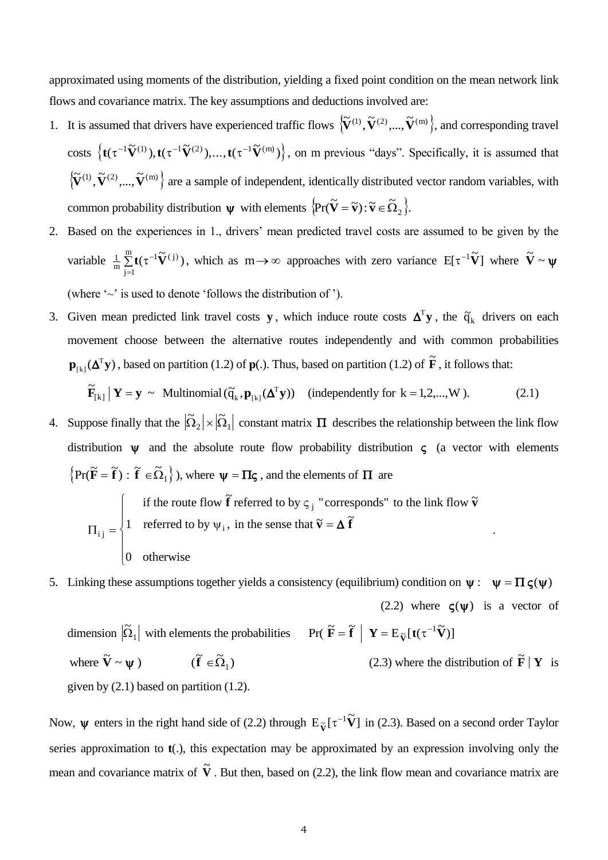approximated using moments of the distribution, yielding a fixed point condition on the mean network link flows and covariance matrix. The key assumptions and deductions involved are:

- 1. It is assumed that drivers have experienced traffic flows  $\{\tilde{V}^{(1)}, \tilde{V}^{(2)}, ..., \tilde{V}^{(m)}\}$ , and corresponding travel costs  $\{\mathbf t(\tau^{-1}\widetilde{\mathbf V}^{(1)}),\mathbf t(\tau^{-1}\widetilde{\mathbf V}^{(2)}),..., \mathbf t(\tau^{-1}\widetilde{\mathbf V}^{(m)})\}$ , on m previous "days". Specifically, it is assumed that  $\{\tilde{\mathbf{V}}^{(1)}, \tilde{\mathbf{V}}^{(2)}, ..., \tilde{\mathbf{V}}^{(m)}\}$  are a sample of independent, identically distributed vector random variables, with common probability distribution  $\psi$  with elements  $\{Pr(\tilde{\mathbf{V}} = \tilde{\mathbf{v}}) : \tilde{\mathbf{v}} \in \tilde{\Omega}_2\}.$
- 2. Based on the experiences in 1., drivers' mean predicted travel costs are assumed to be given by the variable  $\frac{1}{m} \sum_{i=1}^{m} t(\tau)$ =  $\sum_{i=1}^{\infty}$ j j  $m \sum_{j=1}$  $\frac{1}{m} \sum_{n=1}^{m} \mathbf{t}(\tau^{-1} \tilde{\mathbf{V}}^{(j)})$ , which as  $m \to \infty$  approaches with zero variance  $E[\tau^{-1} \tilde{\mathbf{V}}]$  where  $\tilde{\mathbf{V}} \sim \mathbf{W}$ (where  $\sim$ ' is used to denote 'follows the distribution of ').
- 3. Given mean predicted link travel costs **y**, which induce route costs  $\mathbf{\Delta}^T \mathbf{y}$ , the  $\tilde{\mathbf{q}}_k$  drivers on each movement choose between the alternative routes independently and with common probabilities  $\mathbf{p}_{[k]}(\mathbf{\Delta}^{T}\mathbf{y})$ , based on partition (1.2) of  $\mathbf{p}$ (.). Thus, based on partition (1.2) of  $\tilde{\mathbf{F}}$ , it follows that:

$$
\widetilde{\mathbf{F}}_{[k]} | \mathbf{Y} = \mathbf{y} \sim \text{Multinomial}(\widetilde{\mathbf{q}}_k, \mathbf{p}_{[k]}(\boldsymbol{\Delta}^{\mathrm{T}} \mathbf{y})) \quad \text{(independently for } k = 1, 2, \dots, W \text{).}
$$
 (2.1)

4. Suppose finally that the  $|\tilde{\Omega}_2| \times |\tilde{\Omega}_1|$  constant matrix  $\Pi$  describes the relationship between the link flow distribution  $\psi$  and the absolute route flow probability distribution  $\zeta$  (a vector with elements  $\{Pr(\tilde{F} = \tilde{f}) : \tilde{f} \in \tilde{\Omega}_1\}$ , where  $\psi = \Pi \zeta$ , and the elements of  $\Pi$  are

$$
\Pi_{ij} = \begin{cases}\n\text{if the route flow } \tilde{\mathbf{f}} \text{ referred to by } \varsigma_j \text{ "corresponds" to the link flow } \tilde{\mathbf{v}} \\
1 & \text{referred to by } \psi_i, \text{ in the sense that } \tilde{\mathbf{v}} = \Delta \tilde{\mathbf{f}} \\
0 & \text{otherwise}\n\end{cases}
$$

5. Linking these assumptions together yields a consistency (equilibrium) condition on  $\psi : \psi = \Pi \varsigma(\psi)$ (2.2) where  $\varsigma(\psi)$  is a vector of

dimension  $|\tilde{\Omega}_1|$  with elements the probabilities Pr( $\tilde{\mathbf{F}} = \tilde{\mathbf{f}} \mid \mathbf{Y} = E_{\tilde{\mathbf{V}}}[\mathbf{t}(\tau^{-1}\tilde{\mathbf{V}})]$ 

where  $\tilde{\mathbf{V}} \sim \mathbf{W}$ )  $\widetilde{\mathbf{V}} \sim \mathbf{\psi}$  )  $(\widetilde{\mathbf{f}} \in \widetilde{\Omega}_1)$  $(2.3)$  where the distribution of  $\tilde{F} | Y$  is given by  $(2.1)$  based on partition  $(1.2)$ .

Now,  $\psi$  enters in the right hand side of (2.2) through  $E_{\tilde{v}}[\tau^{-1}\tilde{V}]$  $\tilde{\mathbf{v}}$  [ $\mathbf{\tau}^{-1}\tilde{\mathbf{V}}$ ] in (2.3). Based on a second order Taylor series approximation to **t**(.), this expectation may be approximated by an expression involving only the mean and covariance matrix of  $\tilde{V}$ . But then, based on (2.2), the link flow mean and covariance matrix are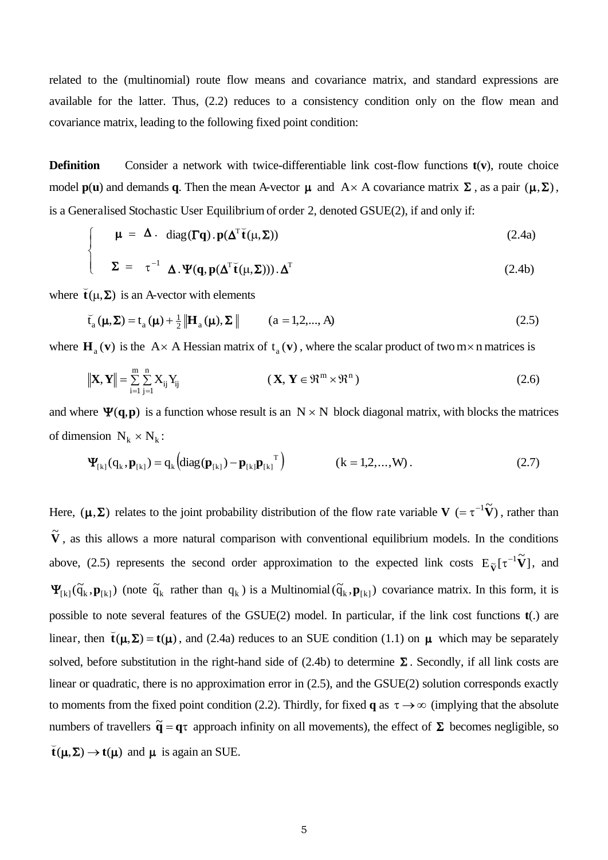related to the (multinomial) route flow means and covariance matrix, and standard expressions are available for the latter. Thus, (2.2) reduces to a consistency condition only on the flow mean and covariance matrix, leading to the following fixed point condition:

**Definition** Consider a network with twice-differentiable link cost-flow functions **t**(**v**), route choice model  $p(u)$  and demands **q**. Then the mean A-vector  $\mu$  and  $A \times A$  covariance matrix  $\Sigma$ , as a pair  $(\mu, \Sigma)$ , is a Generalised Stochastic User Equilibrium of order 2, denoted GSUE(2), if and only if:

$$
\mu = \Delta \cdot \text{diag}(\Gamma \mathbf{q}) \cdot \mathbf{p}(\Delta^T \mathbf{\tilde{t}}(\mu, \Sigma))
$$
\n(2.4a)  
\n
$$
\Sigma = \tau^{-1} \Delta \cdot \Psi(\mathbf{q}, \mathbf{p}(\Delta^T \mathbf{\tilde{t}}(\mu, \Sigma))) \cdot \Delta^T
$$
\n(2.4b)

where  $\check{\mathbf{t}}(\mu, \Sigma)$  $\frac{1}{2}$ is an A-vector with elements

$$
\breve{\mathbf{t}}_{a}(\mathbf{\mu}, \Sigma) = \mathbf{t}_{a}(\mathbf{\mu}) + \frac{1}{2} ||\mathbf{H}_{a}(\mathbf{\mu}), \Sigma ||
$$
 (a = 1,2,..., A) (2.5)

where  $H_a(v)$  is the A  $\times$  A Hessian matrix of  $t_a(v)$ , where the scalar product of two m  $\times$  n matrices is

$$
\|\mathbf{X}, \mathbf{Y}\| = \sum_{i=1}^{m} \sum_{j=1}^{n} X_{ij} Y_{ij}
$$
 (X, Y \in \mathbb{R}^{m} \times \mathbb{R}^{n}) (2.6)

and where  $\Psi(q, p)$  is a function whose result is an N  $\times$  N block diagonal matrix, with blocks the matrices of dimension  $N_k \times N_k$ :

$$
\mathbf{\Psi}_{[k]}(q_k, \mathbf{p}_{[k]}) = q_k \left( \text{diag}(\mathbf{p}_{[k]}) - \mathbf{p}_{[k]} \mathbf{p}_{[k]}^T \right) \qquad (k = 1, 2, ..., W). \qquad (2.7)
$$

Here,  $(\mu, \Sigma)$  relates to the joint probability distribution of the flow rate variable **V** (=  $\tau^{-1}\tilde{\mathbf{V}}$ ), rather than  $\tilde{V}$ , as this allows a more natural comparison with conventional equilibrium models. In the conditions above, (2.5) represents the second order approximation to the expected link costs  $E_{\tilde{v}}[\tau^{-1}\tilde{V}]$  $\tilde{\mathbf{v}}\left[\tau^{-1}\tilde{\mathbf{V}}\right]$ , and  $\Psi_{[k]}(\tilde{q}_k, \mathbf{p}_{[k]})$  (note  $\tilde{q}_k$  rather than  $q_k$ ) is a Multinomial  $(\tilde{q}_k, \mathbf{p}_{[k]})$  covariance matrix. In this form, it is possible to note several features of the GSUE(2) model. In particular, if the link cost functions **t**(.) are linear, then  $\mathbf{\vec{t}}(\mathbf{\mu}, \mathbf{\Sigma}) = \mathbf{t}(\mathbf{\mu})$  $\frac{1}{2}$ , and (2.4a) reduces to an SUE condition (1.1) on  $\mu$  which may be separately solved, before substitution in the right-hand side of (2.4b) to determine  $\Sigma$ . Secondly, if all link costs are linear or quadratic, there is no approximation error in (2.5), and the GSUE(2) solution corresponds exactly to moments from the fixed point condition (2.2). Thirdly, for fixed **q** as  $\tau \rightarrow \infty$  (implying that the absolute numbers of travellers  $\tilde{\mathbf{q}} = \mathbf{q} \tau$  approach infinity on all movements), the effect of  $\Sigma$  becomes negligible, so  $\check{\mathbf{t}}(\mu, \Sigma) \to \mathbf{t}(\mu)$  $\frac{1}{\epsilon}$ and  $\mu$  is again an SUE.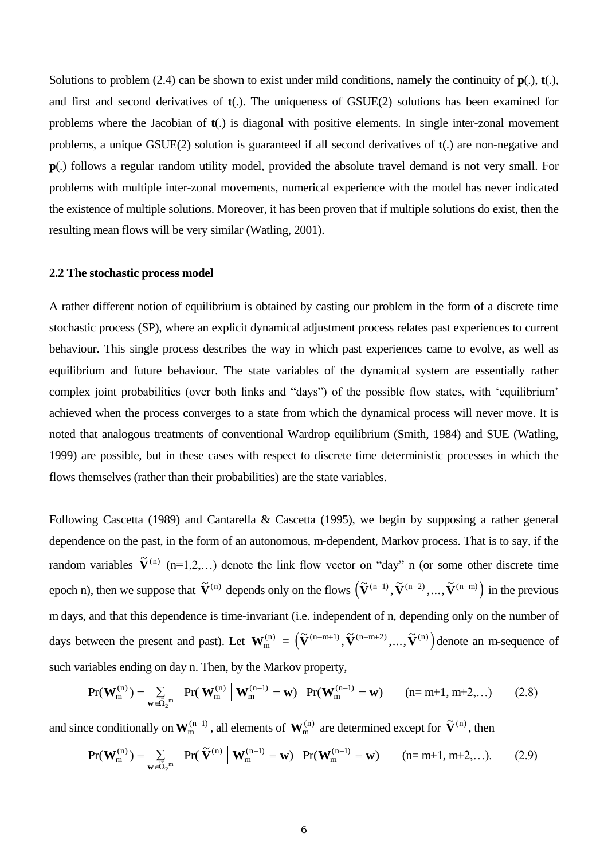Solutions to problem (2.4) can be shown to exist under mild conditions, namely the continuity of **p**(.), **t**(.), and first and second derivatives of **t**(.). The uniqueness of GSUE(2) solutions has been examined for problems where the Jacobian of **t**(.) is diagonal with positive elements. In single inter-zonal movement problems, a unique GSUE(2) solution is guaranteed if all second derivatives of **t**(.) are non-negative and **p**(.) follows a regular random utility model, provided the absolute travel demand is not very small. For problems with multiple inter-zonal movements, numerical experience with the model has never indicated the existence of multiple solutions. Moreover, it has been proven that if multiple solutions do exist, then the resulting mean flows will be very similar (Watling, 2001).

### **2.2 The stochastic process model**

A rather different notion of equilibrium is obtained by casting our problem in the form of a discrete time stochastic process (SP), where an explicit dynamical adjustment process relates past experiences to current behaviour. This single process describes the way in which past experiences came to evolve, as well as equilibrium and future behaviour. The state variables of the dynamical system are essentially rather complex joint probabilities (over both links and "days") of the possible flow states, with 'equilibrium' achieved when the process converges to a state from which the dynamical process will never move. It is noted that analogous treatments of conventional Wardrop equilibrium (Smith, 1984) and SUE (Watling, 1999) are possible, but in these cases with respect to discrete time deterministic processes in which the flows themselves (rather than their probabilities) are the state variables.

Following Cascetta (1989) and Cantarella & Cascetta (1995), we begin by supposing a rather general dependence on the past, in the form of an autonomous, m-dependent, Markov process. That is to say, if the random variables  $\tilde{V}^{(n)}$  (n=1,2,...) denote the link flow vector on "day" n (or some other discrete time epoch n), then we suppose that  $\tilde{V}^{(n)}$  depends only on the flows  $(\tilde{V}^{(n-1)}, \tilde{V}^{(n-2)}, \ldots, \tilde{V}^{(n-m)})$  in the previous m days, and that this dependence is time-invariant (i.e. independent of n, depending only on the number of days between the present and past). Let  $\mathbf{W}_{m}^{(n)} = (\tilde{\mathbf{V}}^{(n-m+1)}, \tilde{\mathbf{V}}^{(n-m+2)}, ..., \tilde{\mathbf{V}}^{(n)})$  denote an m-sequence of such variables ending on day n. Then, by the Markov property,

$$
Pr(\mathbf{W}_{m}^{(n)}) = \sum_{\mathbf{w} \in \tilde{\Omega}_{2}^{m}} Pr(\mathbf{W}_{m}^{(n)} | \mathbf{W}_{m}^{(n-1)} = \mathbf{w}) \ Pr(\mathbf{W}_{m}^{(n-1)} = \mathbf{w}) \qquad (n = m+1, m+2,...)
$$
 (2.8)

and since conditionally on  $W_m^{(n-1)}$ , all elements of  $W_m^{(n)}$  are determined except for  $\tilde{V}^{(n)}$ , then

$$
Pr(\mathbf{W}_{m}^{(n)}) = \sum_{\mathbf{w} \in \tilde{\Omega}_{2}^{m}} Pr(\tilde{\mathbf{V}}^{(n)} | \mathbf{W}_{m}^{(n-1)} = \mathbf{w}) \ Pr(\mathbf{W}_{m}^{(n-1)} = \mathbf{w}) \qquad (n = m+1, m+2,...). \tag{2.9}
$$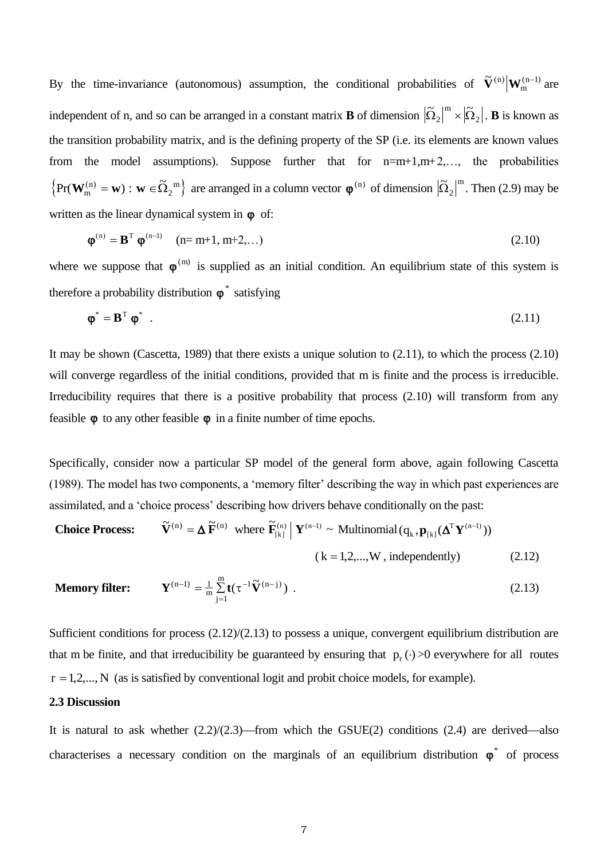By the time-invariance (autonomous) assumption, the conditional probabilities of  $\tilde{V}^{(n)}|W_m^{(n-1)}|$  $_{1}^{\mathrm{n}-1)}$  are independent of n, and so can be arranged in a constant matrix **B** of dimension  $|\tilde{\Omega}_2|^m \times |\tilde{\Omega}_2|$ . **B** is known as the transition probability matrix, and is the defining property of the SP (i.e. its elements are known values from the model assumptions). Suppose further that for n=m+1,m+2,…, the probabilities  $\left\{ \Pr(\mathbf{W}_{m}^{(n)} = \mathbf{w}) : \mathbf{w} \in \tilde{\Omega}_{2}^{m} \right\}$  are arranged in a column vector  $\phi^{(n)}$  of dimension  $\left| \tilde{\Omega}_{2} \right|^{m}$ . Then (2.9) may be written as the linear dynamical system in  $\varphi$  of:

$$
\boldsymbol{\varphi}^{(n)} = \mathbf{B}^{T} \; \boldsymbol{\varphi}^{(n-1)} \quad (n = m+1, m+2,...)
$$
\n(2.10)

where we suppose that  $\varphi^{(m)}$  is supplied as an initial condition. An equilibrium state of this system is therefore a probability distribution  $\varphi^*$  satisfying

$$
\boldsymbol{\varphi}^* = \mathbf{B}^{\mathrm{T}} \, \boldsymbol{\varphi}^* \quad . \tag{2.11}
$$

It may be shown (Cascetta, 1989) that there exists a unique solution to (2.11), to which the process (2.10) will converge regardless of the initial conditions, provided that m is finite and the process is irreducible. Irreducibility requires that there is a positive probability that process  $(2.10)$  will transform from any feasible  $\varphi$  to any other feasible  $\varphi$  in a finite number of time epochs.

Specifically, consider now a particular SP model of the general form above, again following Cascetta (1989). The model has two components, a 'memory filter' describing the way in which past experiences are assimilated, and a 'choice process' describing how drivers behave conditionally on the past:

**Choice Process:** 
$$
\widetilde{\mathbf{V}}^{(n)} = \Delta \widetilde{\mathbf{F}}^{(n)} \text{ where } \widetilde{\mathbf{F}}_{[k]}^{(n)} \middle| \mathbf{Y}^{(n-1)} \sim \text{Multinomial}(q_k, \mathbf{p}_{[k]}(\Delta^T \mathbf{Y}^{(n-1)}))
$$
\n
$$
(k = 1, 2, ..., W, \text{ independently})
$$
\n(2.12)

**Memory filter:** 
$$
\mathbf{Y}^{(n-1)} = \frac{1}{m} \sum_{j=1}^{m} \mathbf{t} (\tau^{-1} \widetilde{\mathbf{V}}^{(n-j)})
$$
 (2.13)

Sufficient conditions for process (2.12)/(2.13) to possess a unique, convergent equilibrium distribution are that m be finite, and that irreducibility be guaranteed by ensuring that  $p_r(\cdot) > 0$  everywhere for all routes  $r = 1, 2, \ldots, N$  (as is satisfied by conventional logit and probit choice models, for example).

# **2.3 Discussion**

It is natural to ask whether  $(2.2)/(2.3)$ —from which the GSUE(2) conditions (2.4) are derived—also characterises a necessary condition on the marginals of an equilibrium distribution  $\varphi^*$  of process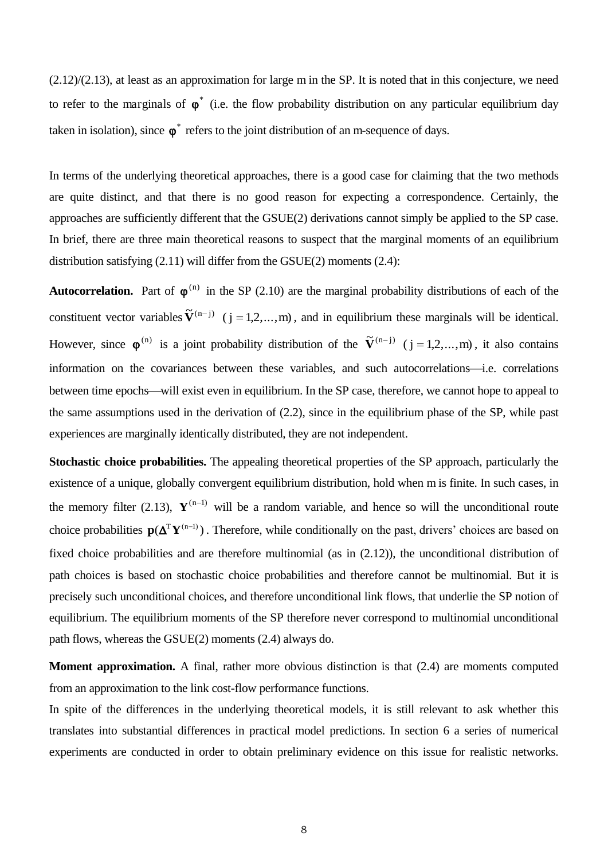(2.12)/(2.13), at least as an approximation for large m in the SP. It is noted that in this conjecture, we need to refer to the marginals of  $\varphi^*$  (i.e. the flow probability distribution on any particular equilibrium day taken in isolation), since  $\boldsymbol{\varphi}^*$  refers to the joint distribution of an m-sequence of days.

In terms of the underlying theoretical approaches, there is a good case for claiming that the two methods are quite distinct, and that there is no good reason for expecting a correspondence. Certainly, the approaches are sufficiently different that the GSUE(2) derivations cannot simply be applied to the SP case. In brief, there are three main theoretical reasons to suspect that the marginal moments of an equilibrium distribution satisfying (2.11) will differ from the GSUE(2) moments (2.4):

**Autocorrelation.** Part of  $\varphi^{(n)}$  in the SP (2.10) are the marginal probability distributions of each of the constituent vector variables  $\tilde{V}^{(n-j)}$  ( $j = 1, 2, ..., m$ ), and in equilibrium these marginals will be identical. However, since  $\varphi^{(n)}$  is a joint probability distribution of the  $\tilde{V}^{(n-j)}$  (j = 1,2,...,m), it also contains information on the covariances between these variables, and such autocorrelations-i.e. correlations between time epochs—will exist even in equilibrium. In the SP case, therefore, we cannot hope to appeal to the same assumptions used in the derivation of (2.2), since in the equilibrium phase of the SP, while past experiences are marginally identically distributed, they are not independent.

**Stochastic choice probabilities.** The appealing theoretical properties of the SP approach, particularly the existence of a unique, globally convergent equilibrium distribution, hold when m is finite. In such cases, in the memory filter (2.13),  $Y^{(n-1)}$  will be a random variable, and hence so will the unconditional route choice probabilities  $p(\Delta^T Y^{(n-1)})$ . Therefore, while conditionally on the past, drivers' choices are based on fixed choice probabilities and are therefore multinomial (as in (2.12)), the unconditional distribution of path choices is based on stochastic choice probabilities and therefore cannot be multinomial. But it is precisely such unconditional choices, and therefore unconditional link flows, that underlie the SP notion of equilibrium. The equilibrium moments of the SP therefore never correspond to multinomial unconditional path flows, whereas the GSUE(2) moments (2.4) always do.

**Moment approximation.** A final, rather more obvious distinction is that (2.4) are moments computed from an approximation to the link cost-flow performance functions.

In spite of the differences in the underlying theoretical models, it is still relevant to ask whether this translates into substantial differences in practical model predictions. In section 6 a series of numerical experiments are conducted in order to obtain preliminary evidence on this issue for realistic networks.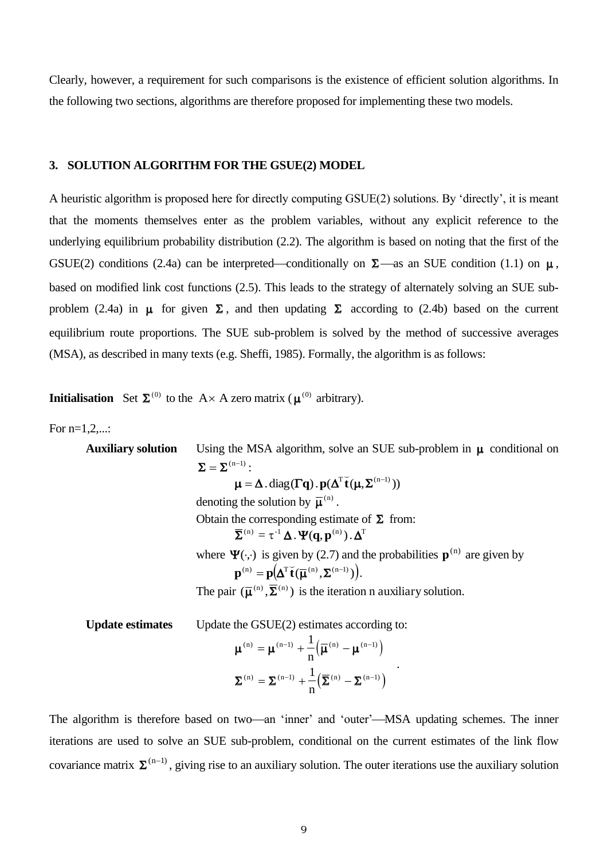Clearly, however, a requirement for such comparisons is the existence of efficient solution algorithms. In the following two sections, algorithms are therefore proposed for implementing these two models.

# **3. SOLUTION ALGORITHM FOR THE GSUE(2) MODEL**

A heuristic algorithm is proposed here for directly computing GSUE(2) solutions. By 'directly', it is meant that the moments themselves enter as the problem variables, without any explicit reference to the underlying equilibrium probability distribution (2.2). The algorithm is based on noting that the first of the GSUE(2) conditions (2.4a) can be interpreted—conditionally on  $\Sigma$ —as an SUE condition (1.1) on  $\mu$ , based on modified link cost functions (2.5). This leads to the strategy of alternately solving an SUE subproblem (2.4a) in  $\mu$  for given  $\Sigma$ , and then updating  $\Sigma$  according to (2.4b) based on the current equilibrium route proportions. The SUE sub-problem is solved by the method of successive averages (MSA), as described in many texts (e.g. Sheffi, 1985). Formally, the algorithm is as follows:

**Initialisation** Set  $\Sigma^{(0)}$  to the A  $\times$  A zero matrix ( $\mu^{(0)}$  arbitrary).

For n=1,2,...:

**Auxiliary solution** Using the MSA algorithm, solve an SUE sub-problem in  $\mu$  conditional on  $\Sigma = \Sigma^{(n-1)}$ :  $\mu = \Delta$ . diag( $\Gamma$ **q**).  $\mathbf{p}(\Delta^T \mathbf{\breve{t}}(\mu, \Sigma^{(n-1)}))$  $\frac{1}{2}$ denoting the solution by  $\bar{\mu}^{(n)}$ . Obtain the corresponding estimate of  $\Sigma$  from:  $\overline{\Sigma}$  $\mathbf{M}^{(n)} = \tau^{-1} \, \mathbf{\Delta} \cdot \mathbf{\Psi}(\mathbf{q}, \mathbf{p}^{(n)}) \, . \, \mathbf{\Delta}^{\mathrm{T}}$ where  $\Psi(\cdot, \cdot)$  is given by (2.7) and the probabilities  $p^{(n)}$  are given by  $\mathbf{p}^{(n)} = \mathbf{p}(\mathbf{\Delta}^{\mathrm{T}} \check{\mathbf{t}}(\overline{\boldsymbol{\mu}}^{(n)}, \boldsymbol{\Sigma}^{(n-1)})).$  $\frac{1}{2}$ . The pair  $(\overline{\mu}^{(n)}, \overline{\Sigma}^{(n)})$  is the iteration n auxiliary solution.

 **Update estimates** Update the GSUE(2) estimates according to:

$$
\mu^{(n)} = \mu^{(n-1)} + \frac{1}{n} \left( \overline{\mu}^{(n)} - \mu^{(n-1)} \right)
$$

$$
\Sigma^{(n)} = \Sigma^{(n-1)} + \frac{1}{n} \left( \overline{\Sigma}^{(n)} - \Sigma^{(n-1)} \right)
$$

The algorithm is therefore based on two—an 'inner' and 'outer'—MSA updating schemes. The inner iterations are used to solve an SUE sub-problem, conditional on the current estimates of the link flow covariance matrix  $\Sigma^{(n-1)}$ , giving rise to an auxiliary solution. The outer iterations use the auxiliary solution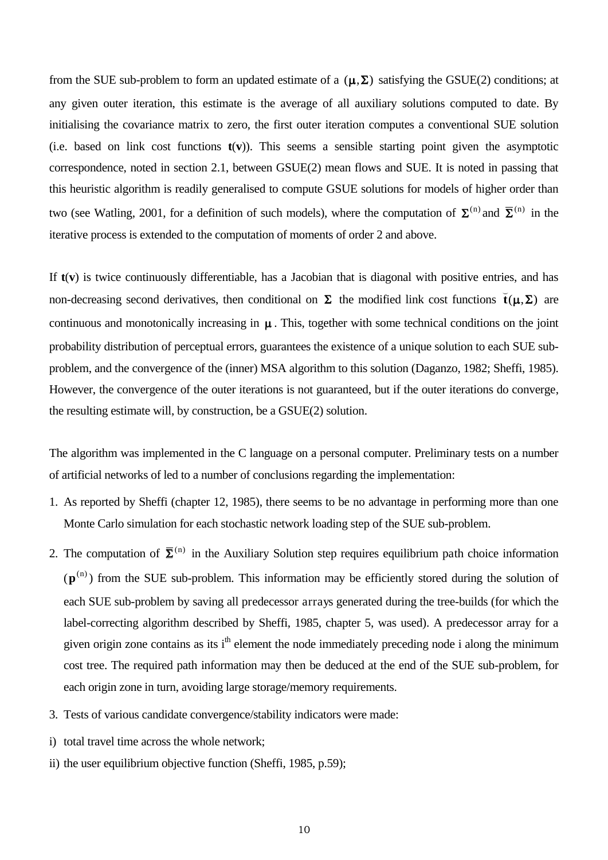from the SUE sub-problem to form an updated estimate of a  $(\mu, \Sigma)$  satisfying the GSUE(2) conditions; at any given outer iteration, this estimate is the average of all auxiliary solutions computed to date. By initialising the covariance matrix to zero, the first outer iteration computes a conventional SUE solution (i.e. based on link cost functions **t**(**v**)). This seems a sensible starting point given the asymptotic correspondence, noted in section 2.1, between GSUE(2) mean flows and SUE. It is noted in passing that this heuristic algorithm is readily generalised to compute GSUE solutions for models of higher order than two (see Watling, 2001, for a definition of such models), where the computation of  $\Sigma^{(n)}$  and  $\overline{\Sigma}^{(n)}$  in the iterative process is extended to the computation of moments of order 2 and above.

If **t**(**v**) is twice continuously differentiable, has a Jacobian that is diagonal with positive entries, and has non-decreasing second derivatives, then conditional on  $\Sigma$  the modified link cost functions  $\frac{1}{2}$  $\check{\mathbf{t}}(\mu, \Sigma)$  are continuous and monotonically increasing in  $\mu$ . This, together with some technical conditions on the joint probability distribution of perceptual errors, guarantees the existence of a unique solution to each SUE subproblem, and the convergence of the (inner) MSA algorithm to this solution (Daganzo, 1982; Sheffi, 1985). However, the convergence of the outer iterations is not guaranteed, but if the outer iterations do converge, the resulting estimate will, by construction, be a GSUE(2) solution.

The algorithm was implemented in the C language on a personal computer. Preliminary tests on a number of artificial networks of led to a number of conclusions regarding the implementation:

- 1. As reported by Sheffi (chapter 12, 1985), there seems to be no advantage in performing more than one Monte Carlo simulation for each stochastic network loading step of the SUE sub-problem.
- 2. The computation of  $\bar{\Sigma}^{(n)}$  in the Auxiliary Solution step requires equilibrium path choice information  $(p^{(n)})$  from the SUE sub-problem. This information may be efficiently stored during the solution of each SUE sub-problem by saving all predecessor arrays generated during the tree-builds (for which the label-correcting algorithm described by Sheffi, 1985, chapter 5, was used). A predecessor array for a given origin zone contains as its i<sup>th</sup> element the node immediately preceding node i along the minimum cost tree. The required path information may then be deduced at the end of the SUE sub-problem, for each origin zone in turn, avoiding large storage/memory requirements.
- 3. Tests of various candidate convergence/stability indicators were made:
- i) total travel time across the whole network;
- ii) the user equilibrium objective function (Sheffi, 1985, p.59);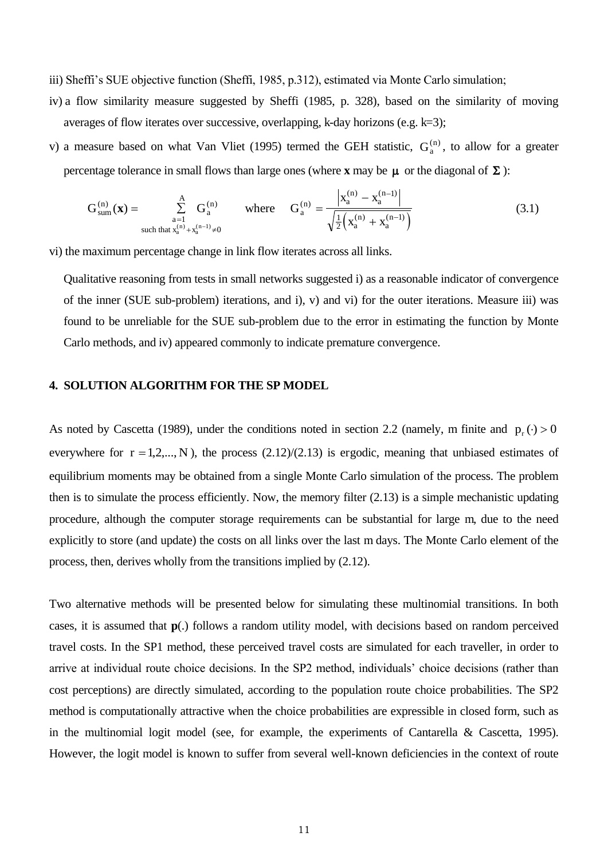- iii) Sheffi's SUE objective function (Sheffi, 1985, p.312), estimated via Monte Carlo simulation;
- iv) a flow similarity measure suggested by Sheffi (1985, p. 328), based on the similarity of moving averages of flow iterates over successive, overlapping, k-day horizons (e.g. k=3);
- v) a measure based on what Van Vliet (1995) termed the GEH statistic,  $G_a^{(n)}$ , to allow for a greater percentage tolerance in small flows than large ones (where **x** may be  $\mu$  or the diagonal of  $\Sigma$ ):

$$
G_{sum}^{(n)}(x) = \sum_{\substack{a=1 \ \text{such that } x_a^{(n)} + x_a^{(n-1)} \neq 0}}^{A} \text{ where } G_a^{(n)} = \frac{|x_a^{(n)} - x_a^{(n-1)}|}{\sqrt{\frac{1}{2}(x_a^{(n)} + x_a^{(n-1)})}}
$$
(3.1)

vi) the maximum percentage change in link flow iterates across all links.

Qualitative reasoning from tests in small networks suggested i) as a reasonable indicator of convergence of the inner (SUE sub-problem) iterations, and i), v) and vi) for the outer iterations. Measure iii) was found to be unreliable for the SUE sub-problem due to the error in estimating the function by Monte Carlo methods, and iv) appeared commonly to indicate premature convergence.

# **4. SOLUTION ALGORITHM FOR THE SP MODEL**

As noted by Cascetta (1989), under the conditions noted in section 2.2 (namely, m finite and  $p_r(\cdot) > 0$ everywhere for  $r = 1, 2, ..., N$ ), the process  $(2.12)/(2.13)$  is ergodic, meaning that unbiased estimates of equilibrium moments may be obtained from a single Monte Carlo simulation of the process. The problem then is to simulate the process efficiently. Now, the memory filter (2.13) is a simple mechanistic updating procedure, although the computer storage requirements can be substantial for large m, due to the need explicitly to store (and update) the costs on all links over the last m days. The Monte Carlo element of the process, then, derives wholly from the transitions implied by (2.12).

Two alternative methods will be presented below for simulating these multinomial transitions. In both cases, it is assumed that **p**(.) follows a random utility model, with decisions based on random perceived travel costs. In the SP1 method, these perceived travel costs are simulated for each traveller, in order to arrive at individual route choice decisions. In the SP2 method, individuals' choice decisions (rather than cost perceptions) are directly simulated, according to the population route choice probabilities. The SP2 method is computationally attractive when the choice probabilities are expressible in closed form, such as in the multinomial logit model (see, for example, the experiments of Cantarella & Cascetta, 1995). However, the logit model is known to suffer from several well-known deficiencies in the context of route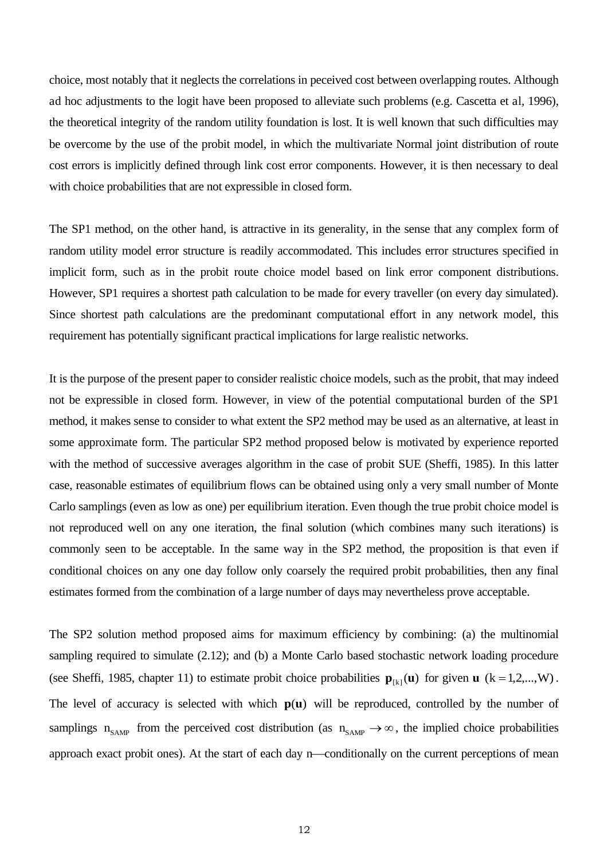choice, most notably that it neglects the correlations in peceived cost between overlapping routes. Although ad hoc adjustments to the logit have been proposed to alleviate such problems (e.g. Cascetta et al, 1996), the theoretical integrity of the random utility foundation is lost. It is well known that such difficulties may be overcome by the use of the probit model, in which the multivariate Normal joint distribution of route cost errors is implicitly defined through link cost error components. However, it is then necessary to deal with choice probabilities that are not expressible in closed form.

The SP1 method, on the other hand, is attractive in its generality, in the sense that any complex form of random utility model error structure is readily accommodated. This includes error structures specified in implicit form, such as in the probit route choice model based on link error component distributions. However, SP1 requires a shortest path calculation to be made for every traveller (on every day simulated). Since shortest path calculations are the predominant computational effort in any network model, this requirement has potentially significant practical implications for large realistic networks.

It is the purpose of the present paper to consider realistic choice models, such as the probit, that may indeed not be expressible in closed form. However, in view of the potential computational burden of the SP1 method, it makes sense to consider to what extent the SP2 method may be used as an alternative, at least in some approximate form. The particular SP2 method proposed below is motivated by experience reported with the method of successive averages algorithm in the case of probit SUE (Sheffi, 1985). In this latter case, reasonable estimates of equilibrium flows can be obtained using only a very small number of Monte Carlo samplings (even as low as one) per equilibrium iteration. Even though the true probit choice model is not reproduced well on any one iteration, the final solution (which combines many such iterations) is commonly seen to be acceptable. In the same way in the SP2 method, the proposition is that even if conditional choices on any one day follow only coarsely the required probit probabilities, then any final estimates formed from the combination of a large number of days may nevertheless prove acceptable.

The SP2 solution method proposed aims for maximum efficiency by combining: (a) the multinomial sampling required to simulate (2.12); and (b) a Monte Carlo based stochastic network loading procedure (see Sheffi, 1985, chapter 11) to estimate probit choice probabilities  $\mathbf{p}_{[k]}(\mathbf{u})$  for given  $\mathbf{u}$  ( $k = 1, 2, ..., W$ ). The level of accuracy is selected with which  $p(u)$  will be reproduced, controlled by the number of samplings  $n_{SAMP}$  from the perceived cost distribution (as  $n_{SAMP} \rightarrow \infty$ , the implied choice probabilities approach exact probit ones). At the start of each day n—conditionally on the current perceptions of mean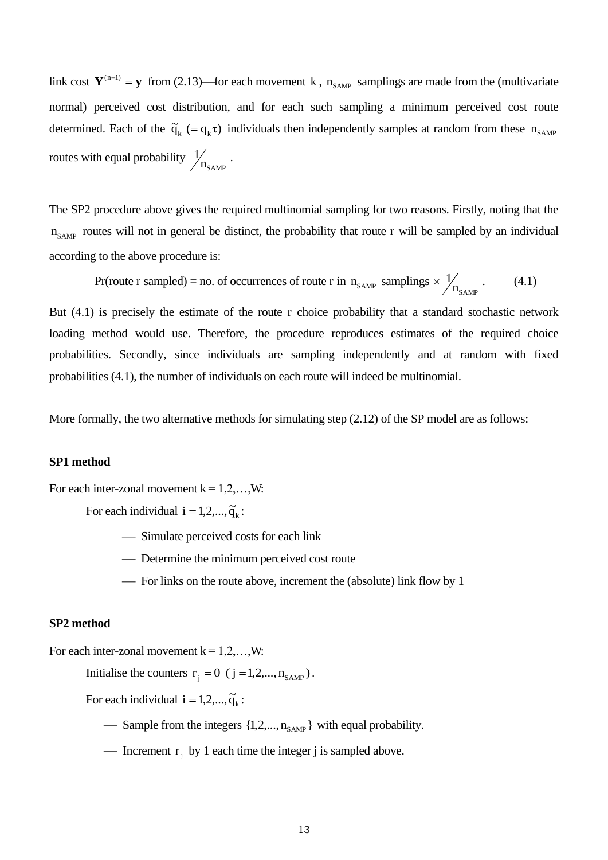link cost  $Y^{(n-1)} = y$  from (2.13)—for each movement k,  $n_{SAMP}$  samplings are made from the (multivariate normal) perceived cost distribution, and for each such sampling a minimum perceived cost route determined. Each of the  $\tilde{q}_k (= q_k \tau)$  individuals then independently samples at random from these  $n_{sAMP}$ routes with equal probability SAMP 1  $\stackrel{\textstyle\phantom{a}}{\mathstrut}_{\mathbf{S} \mathsf{A} \mathsf{M} \mathsf{P}}$  .

The SP2 procedure above gives the required multinomial sampling for two reasons. Firstly, noting that the  $n<sub>SAMP</sub>$  routes will not in general be distinct, the probability that route r will be sampled by an individual according to the above procedure is:

Pr(route r sampled) = no. of occurrences of route r in  $n_{SAMP}$  samplings  $\times$   $\frac{1}{n_{SAMP}}$ 1  $\times \frac{1}{n_{\text{SAMP}}}$  (4.1)

But (4.1) is precisely the estimate of the route r choice probability that a standard stochastic network loading method would use. Therefore, the procedure reproduces estimates of the required choice probabilities. Secondly, since individuals are sampling independently and at random with fixed probabilities (4.1), the number of individuals on each route will indeed be multinomial.

More formally, the two alternative methods for simulating step (2.12) of the SP model are as follows:

#### **SP1 method**

For each inter-zonal movement  $k = 1, 2, \dots, W$ :

For each individual  $i = 1, 2, ..., \tilde{q}_k$ :

- Simulate perceived costs for each link
- Determine the minimum perceived cost route
- For links on the route above, increment the (absolute) link flow by 1

# **SP2 method**

For each inter-zonal movement  $k = 1, 2, \dots, W$ :

Initialise the counters  $r_j = 0$  ( $j = 1, 2, ..., n_{SAMP}$ ).

For each individual  $i = 1, 2, ..., \tilde{q}_k$ :

- Sample from the integers  $\{1, 2, ..., n_{SAMP}\}$  with equal probability.
- Increment  $r_j$  by 1 each time the integer j is sampled above.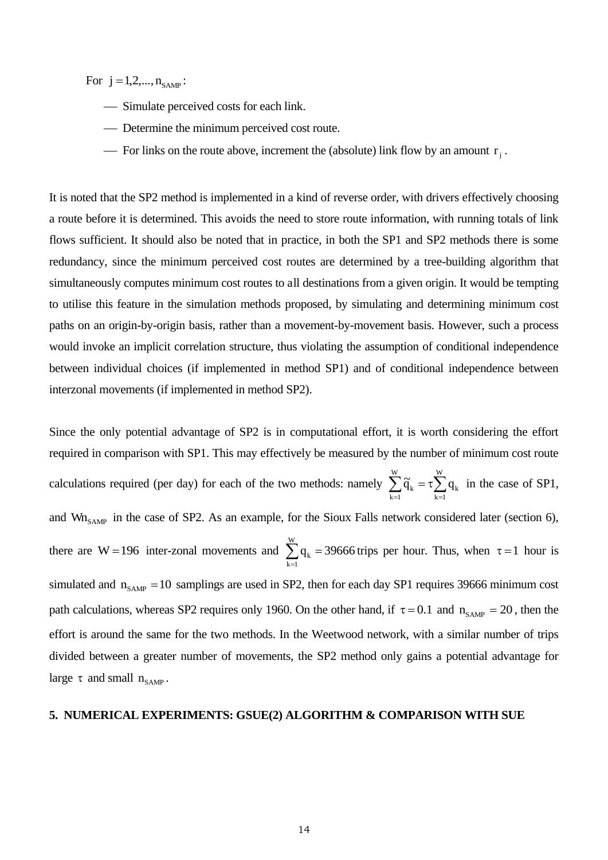For  $j = 1, 2, ..., n_{\text{SAMP}}$ :

- Simulate perceived costs for each link.
- Determine the minimum perceived cost route.
- For links on the route above, increment the (absolute) link flow by an amount  $r_j$ .

It is noted that the SP2 method is implemented in a kind of reverse order, with drivers effectively choosing a route before it is determined. This avoids the need to store route information, with running totals of link flows sufficient. It should also be noted that in practice, in both the SP1 and SP2 methods there is some redundancy, since the minimum perceived cost routes are determined by a tree-building algorithm that simultaneously computes minimum cost routes to all destinations from a given origin. It would be tempting to utilise this feature in the simulation methods proposed, by simulating and determining minimum cost paths on an origin-by-origin basis, rather than a movement-by-movement basis. However, such a process would invoke an implicit correlation structure, thus violating the assumption of conditional independence between individual choices (if implemented in method SP1) and of conditional independence between interzonal movements (if implemented in method SP2).

Since the only potential advantage of SP2 is in computational effort, it is worth considering the effort required in comparison with SP1. This may effectively be measured by the number of minimum cost route calculations required (per day) for each of the two methods: namely  $\sum_{k=1}^{W} \widetilde{q}_k = \tau \sum_{k=1}^{W}$ k k W k  $\widetilde{\mathbf{q}}_{k} = \tau \sum \mathbf{q}$ 1 1  $\tilde{q}_k = \tau \sum_{k=1}^{N} q_k$  in the case of SP1, and  $Wn<sub>SAMP</sub>$  in the case of SP2. As an example, for the Sioux Falls network considered later (section 6), there are W = 196 inter-zonal movements and  $\sum q_k = 39666$  $\sum_{k=1}^{\infty} q_k =$ W k  $q_k = 39666$  trips per hour. Thus, when  $\tau = 1$  hour is simulated and  $n_{SAMP} = 10$  samplings are used in SP2, then for each day SP1 requires 39666 minimum cost path calculations, whereas SP2 requires only 1960. On the other hand, if  $\tau = 0.1$  and  $n_{SAMP} = 20$ , then the effort is around the same for the two methods. In the Weetwood network, with a similar number of trips divided between a greater number of movements, the SP2 method only gains a potential advantage for large  $\tau$  and small  $n_{SAMP}$ .

#### **5. NUMERICAL EXPERIMENTS: GSUE(2) ALGORITHM & COMPARISON WITH SUE**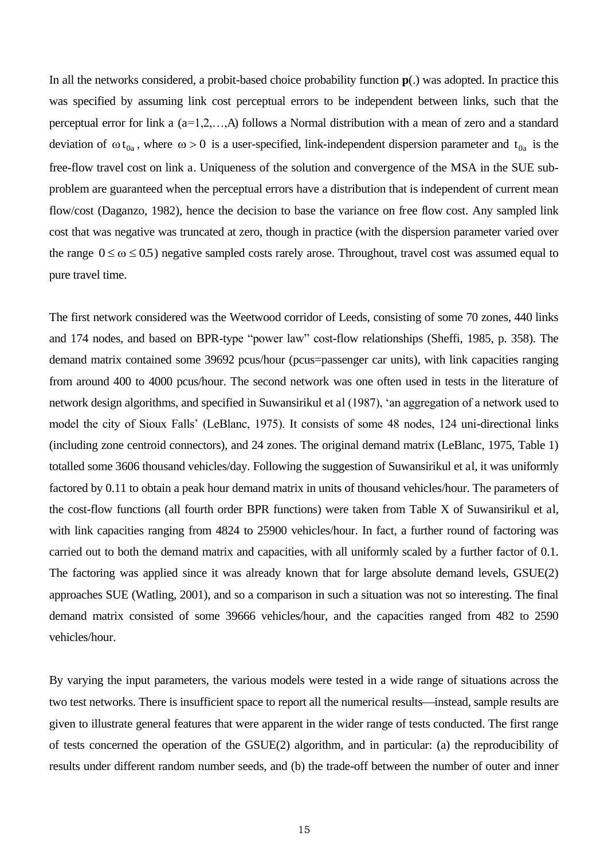In all the networks considered, a probit-based choice probability function **p**(.) was adopted. In practice this was specified by assuming link cost perceptual errors to be independent between links, such that the perceptual error for link a (a=1,2,…,A) follows a Normal distribution with a mean of zero and a standard deviation of  $\omega t_{0a}$ , where  $\omega > 0$  is a user-specified, link-independent dispersion parameter and  $t_{0a}$  is the free-flow travel cost on link a. Uniqueness of the solution and convergence of the MSA in the SUE subproblem are guaranteed when the perceptual errors have a distribution that is independent of current mean flow/cost (Daganzo, 1982), hence the decision to base the variance on free flow cost. Any sampled link cost that was negative was truncated at zero, though in practice (with the dispersion parameter varied over the range  $0 \le \omega \le 0.5$ ) negative sampled costs rarely arose. Throughout, travel cost was assumed equal to pure travel time.

The first network considered was the Weetwood corridor of Leeds, consisting of some 70 zones, 440 links and 174 nodes, and based on BPR-type "power law" cost-flow relationships (Sheffi, 1985, p. 358). The demand matrix contained some 39692 pcus/hour (pcus=passenger car units), with link capacities ranging from around 400 to 4000 pcus/hour. The second network was one often used in tests in the literature of network design algorithms, and specified in Suwansirikul et al (1987), 'an aggregation of a network used to model the city of Sioux Falls' (LeBlanc, 1975). It consists of some 48 nodes, 124 uni-directional links (including zone centroid connectors), and 24 zones. The original demand matrix (LeBlanc, 1975, Table 1) totalled some 3606 thousand vehicles/day. Following the suggestion of Suwansirikul et al, it was uniformly factored by 0.11 to obtain a peak hour demand matrix in units of thousand vehicles/hour. The parameters of the cost-flow functions (all fourth order BPR functions) were taken from Table X of Suwansirikul et al, with link capacities ranging from 4824 to 25900 vehicles/hour. In fact, a further round of factoring was carried out to both the demand matrix and capacities, with all uniformly scaled by a further factor of 0.1. The factoring was applied since it was already known that for large absolute demand levels, GSUE(2) approaches SUE (Watling, 2001), and so a comparison in such a situation was not so interesting. The final demand matrix consisted of some 39666 vehicles/hour, and the capacities ranged from 482 to 2590 vehicles/hour.

By varying the input parameters, the various models were tested in a wide range of situations across the two test networks. There is insufficient space to report all the numerical results—instead, sample results are given to illustrate general features that were apparent in the wider range of tests conducted. The first range of tests concerned the operation of the GSUE(2) algorithm, and in particular: (a) the reproducibility of results under different random number seeds, and (b) the trade-off between the number of outer and inner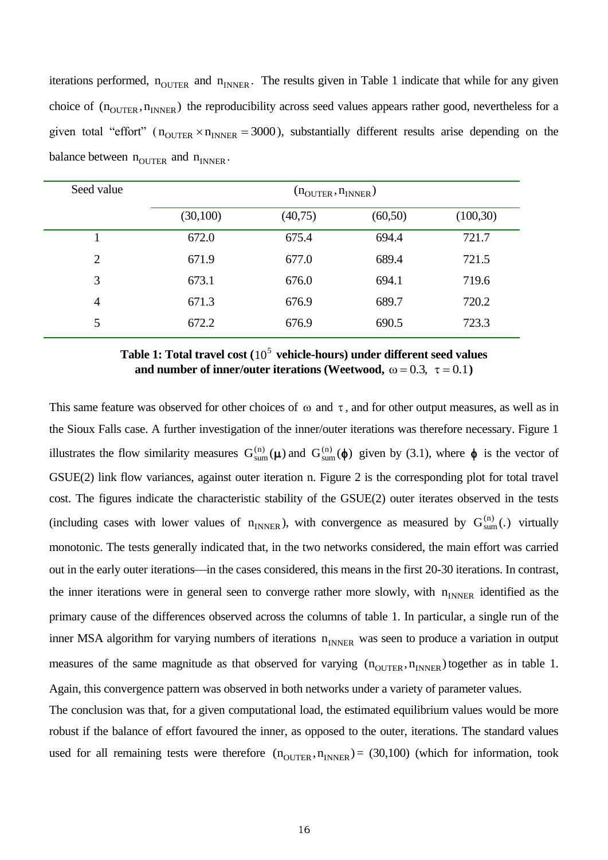iterations performed,  $n_{\text{OUTER}}$  and  $n_{\text{INNER}}$ . The results given in Table 1 indicate that while for any given choice of  $(n_{\text{OUTER}}, n_{\text{INNER}})$  the reproducibility across seed values appears rather good, nevertheless for a given total "effort" ( $n_{\text{OUTER}} \times n_{\text{INNER}} = 3000$ ), substantially different results arise depending on the balance between  $n_{\text{OUTER}}$  and  $n_{\text{INNER}}$ .

| Seed value     | $(n_{\text{OUTER}}, n_{\text{INNER}})$ |         |          |           |
|----------------|----------------------------------------|---------|----------|-----------|
|                | (30,100)                               | (40,75) | (60, 50) | (100, 30) |
|                | 672.0                                  | 675.4   | 694.4    | 721.7     |
| $\overline{2}$ | 671.9                                  | 677.0   | 689.4    | 721.5     |
| 3              | 673.1                                  | 676.0   | 694.1    | 719.6     |
| $\overline{4}$ | 671.3                                  | 676.9   | 689.7    | 720.2     |
| 5              | 672.2                                  | 676.9   | 690.5    | 723.3     |
|                |                                        |         |          |           |

Table 1: Total travel cost ( $10^5$  vehicle-hours) under different seed values and number of inner/outer iterations (Weetwood,  $\omega = 0.3$ ,  $\tau = 0.1$ )

This same feature was observed for other choices of  $\omega$  and  $\tau$ , and for other output measures, as well as in the Sioux Falls case. A further investigation of the inner/outer iterations was therefore necessary. Figure 1 illustrates the flow similarity measures  $G_{sum}^{(n)}(\mu)$  and  $G_{sum}^{(n)}(\phi)$  given by (3.1), where  $\phi$  is the vector of GSUE(2) link flow variances, against outer iteration n. Figure 2 is the corresponding plot for total travel cost. The figures indicate the characteristic stability of the GSUE(2) outer iterates observed in the tests (including cases with lower values of  $n_{INNER}$ ), with convergence as measured by  $G_{sum}^{(n)}(.)$  virtually monotonic. The tests generally indicated that, in the two networks considered, the main effort was carried out in the early outer iterations—in the cases considered, this means in the first 20-30 iterations. In contrast, the inner iterations were in general seen to converge rather more slowly, with  $n_{INNER}$  identified as the primary cause of the differences observed across the columns of table 1. In particular, a single run of the inner MSA algorithm for varying numbers of iterations  $n_{INNER}$  was seen to produce a variation in output measures of the same magnitude as that observed for varying  $(n_{\text{OUTER}}, n_{\text{INNER}})$  together as in table 1. Again, this convergence pattern was observed in both networks under a variety of parameter values.

The conclusion was that, for a given computational load, the estimated equilibrium values would be more robust if the balance of effort favoured the inner, as opposed to the outer, iterations. The standard values used for all remaining tests were therefore  $(n_{\text{OUTER}}, n_{\text{INNER}}) = (30,100)$  (which for information, took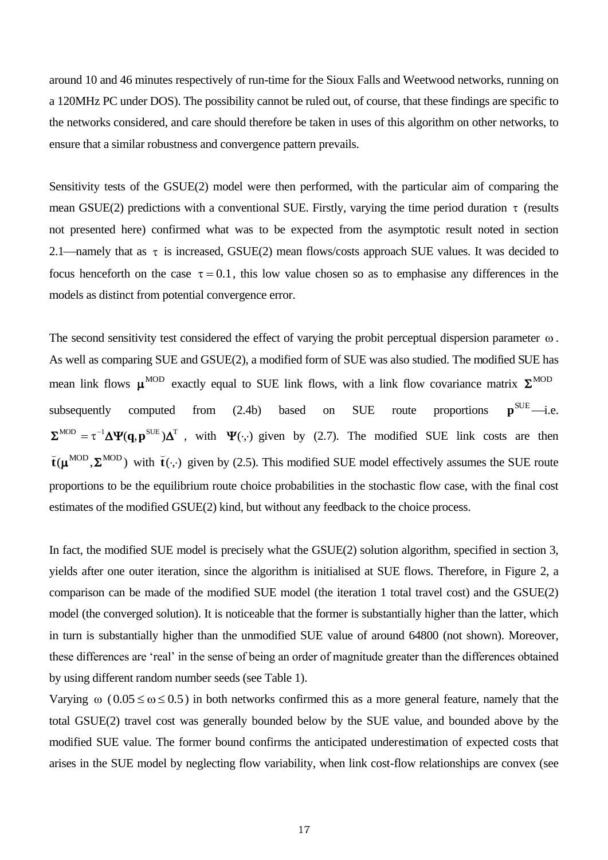around 10 and 46 minutes respectively of run-time for the Sioux Falls and Weetwood networks, running on a 120MHz PC under DOS). The possibility cannot be ruled out, of course, that these findings are specific to the networks considered, and care should therefore be taken in uses of this algorithm on other networks, to ensure that a similar robustness and convergence pattern prevails.

Sensitivity tests of the GSUE(2) model were then performed, with the particular aim of comparing the mean GSUE(2) predictions with a conventional SUE. Firstly, varying the time period duration  $\tau$  (results not presented here) confirmed what was to be expected from the asymptotic result noted in section 2.1—namely that as  $\tau$  is increased, GSUE(2) mean flows/costs approach SUE values. It was decided to focus henceforth on the case  $\tau = 0.1$ , this low value chosen so as to emphasise any differences in the models as distinct from potential convergence error.

The second sensitivity test considered the effect of varying the probit perceptual dispersion parameter  $\omega$ . As well as comparing SUE and GSUE(2), a modified form of SUE was also studied. The modified SUE has mean link flows  $\mu^{\text{MOD}}$  exactly equal to SUE link flows, with a link flow covariance matrix  $\Sigma^{\text{MOD}}$ subsequently computed from  $(2.4b)$  based on SUE route proportions  $p^{\text{SUE}}$ —i.e.  $\Sigma^{\text{MOD}} = \tau^{-1} \Delta \Psi(\mathbf{q}, \mathbf{p}^{\text{SUE}}) \Delta^{\text{T}}$ , with  $\Psi(\cdot, \cdot)$  given by (2.7). The modified SUE link costs are then  $\breve{\mathbf{t}}(\boldsymbol{\mu}^{\text{MOD}},\boldsymbol{\Sigma}^{\text{MOD}})$ with  $\check{\mathbf{t}}(\cdot,\cdot)$  $\frac{1}{2}$  given by (2.5). This modified SUE model effectively assumes the SUE route proportions to be the equilibrium route choice probabilities in the stochastic flow case, with the final cost estimates of the modified GSUE(2) kind, but without any feedback to the choice process.

In fact, the modified SUE model is precisely what the GSUE(2) solution algorithm, specified in section 3, yields after one outer iteration, since the algorithm is initialised at SUE flows. Therefore, in Figure 2, a comparison can be made of the modified SUE model (the iteration 1 total travel cost) and the GSUE(2) model (the converged solution). It is noticeable that the former is substantially higher than the latter, which in turn is substantially higher than the unmodified SUE value of around 64800 (not shown). Moreover, these differences are 'real' in the sense of being an order of magnitude greater than the differences obtained by using different random number seeds (see Table 1).

Varying  $\omega$  (  $0.05 \le \omega \le 0.5$  ) in both networks confirmed this as a more general feature, namely that the total GSUE(2) travel cost was generally bounded below by the SUE value, and bounded above by the modified SUE value. The former bound confirms the anticipated underestimation of expected costs that arises in the SUE model by neglecting flow variability, when link cost-flow relationships are convex (see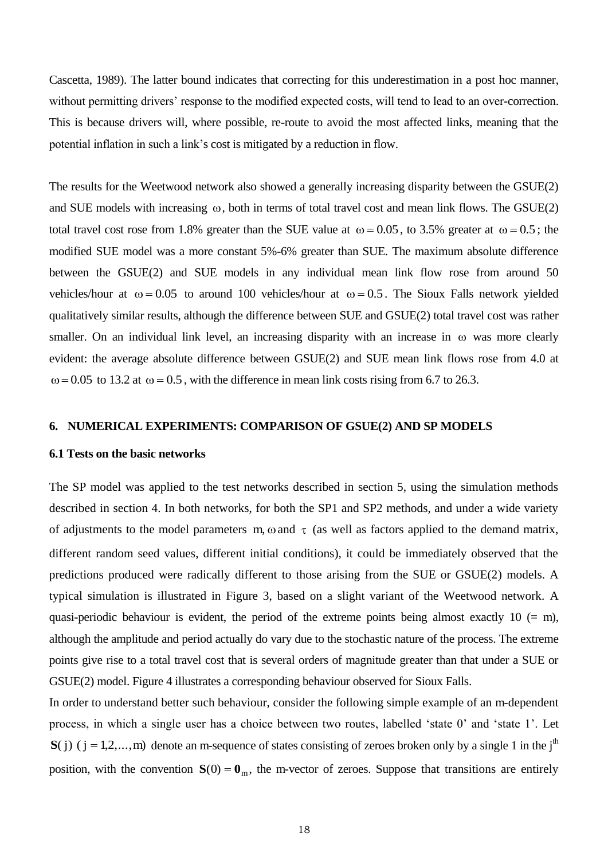Cascetta, 1989). The latter bound indicates that correcting for this underestimation in a post hoc manner, without permitting drivers' response to the modified expected costs, will tend to lead to an over-correction. This is because drivers will, where possible, re-route to avoid the most affected links, meaning that the potential inflation in such a link's cost is mitigated by a reduction in flow.

The results for the Weetwood network also showed a generally increasing disparity between the GSUE(2) and SUE models with increasing  $\omega$ , both in terms of total travel cost and mean link flows. The GSUE(2) total travel cost rose from 1.8% greater than the SUE value at  $\omega = 0.05$ , to 3.5% greater at  $\omega = 0.5$ ; the modified SUE model was a more constant 5%-6% greater than SUE. The maximum absolute difference between the GSUE(2) and SUE models in any individual mean link flow rose from around 50 vehicles/hour at  $\omega = 0.05$  to around 100 vehicles/hour at  $\omega = 0.5$ . The Sioux Falls network yielded qualitatively similar results, although the difference between SUE and GSUE(2) total travel cost was rather smaller. On an individual link level, an increasing disparity with an increase in  $\omega$  was more clearly evident: the average absolute difference between GSUE(2) and SUE mean link flows rose from 4.0 at  $\omega$  = 0.05 to 13.2 at  $\omega$  = 0.5, with the difference in mean link costs rising from 6.7 to 26.3.

### **6. NUMERICAL EXPERIMENTS: COMPARISON OF GSUE(2) AND SP MODELS**

# **6.1 Tests on the basic networks**

The SP model was applied to the test networks described in section 5, using the simulation methods described in section 4. In both networks, for both the SP1 and SP2 methods, and under a wide variety of adjustments to the model parameters m,  $\omega$  and  $\tau$  (as well as factors applied to the demand matrix, different random seed values, different initial conditions), it could be immediately observed that the predictions produced were radically different to those arising from the SUE or GSUE(2) models. A typical simulation is illustrated in Figure 3, based on a slight variant of the Weetwood network. A quasi-periodic behaviour is evident, the period of the extreme points being almost exactly  $10$  (= m), although the amplitude and period actually do vary due to the stochastic nature of the process. The extreme points give rise to a total travel cost that is several orders of magnitude greater than that under a SUE or GSUE(2) model. Figure 4 illustrates a corresponding behaviour observed for Sioux Falls.

In order to understand better such behaviour, consider the following simple example of an m-dependent process, in which a single user has a choice between two routes, labelled 'state 0' and 'state 1'. Let  $S(j)$  ( $j = 1, 2, ..., m$ ) denote an m-sequence of states consisting of zeroes broken only by a single 1 in the j<sup>th</sup> position, with the convention  $\mathbf{S}(0) = \mathbf{0}_m$ , the m-vector of zeroes. Suppose that transitions are entirely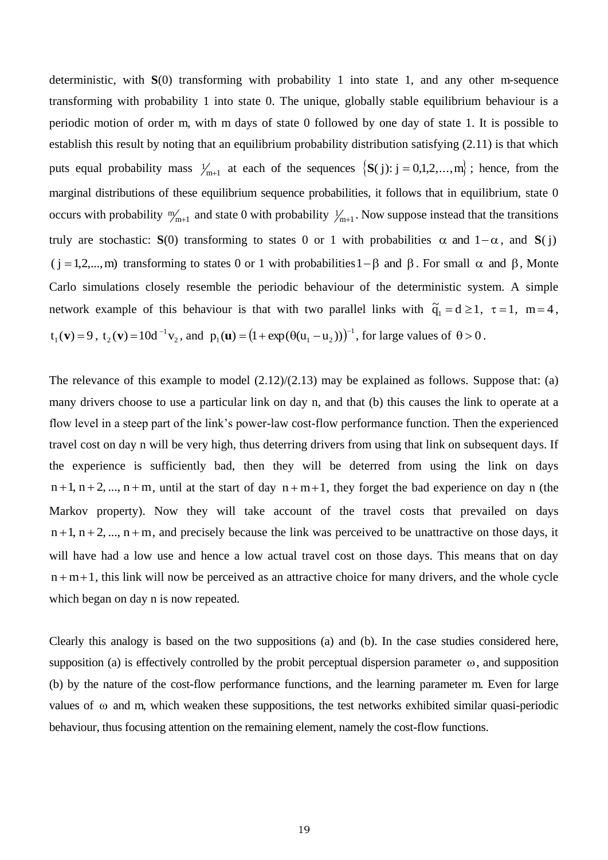deterministic, with **S**(0) transforming with probability 1 into state 1, and any other m-sequence transforming with probability 1 into state 0. The unique, globally stable equilibrium behaviour is a periodic motion of order m, with m days of state 0 followed by one day of state 1. It is possible to establish this result by noting that an equilibrium probability distribution satisfying (2.11) is that which puts equal probability mass  $V_{m+1}$  at each of the sequences  $\{S(j): j = 0,1,2,...,m\}$ ; hence, from the marginal distributions of these equilibrium sequence probabilities, it follows that in equilibrium, state 0 occurs with probability  $\frac{m}{m+1}$  and state 0 with probability  $\frac{1}{m+1}$ . Now suppose instead that the transitions truly are stochastic: **S**(0) transforming to states 0 or 1 with probabilities  $\alpha$  and  $1-\alpha$ , and **S**( $\dot{j}$ )  $(i = 1, 2, \ldots, m)$  transforming to states 0 or 1 with probabilities  $1 - \beta$  and  $\beta$ . For small  $\alpha$  and  $\beta$ , Monte Carlo simulations closely resemble the periodic behaviour of the deterministic system. A simple network example of this behaviour is that with two parallel links with  $\tilde{q}_1 = d \ge 1$ ,  $\tau = 1$ ,  $m = 4$ ,  $t_1(\mathbf{v}) = 9$ ,  $t_2(\mathbf{v}) = 10d^{-1}v_2$ , and  $p_1(\mathbf{u}) = (1 + \exp(\theta(u_1 - u_2)))^{-1}$ , for large values of  $\theta > 0$ .

The relevance of this example to model  $(2.12)/(2.13)$  may be explained as follows. Suppose that: (a) many drivers choose to use a particular link on day n, and that (b) this causes the link to operate at a flow level in a steep part of the link's power-law cost-flow performance function. Then the experienced travel cost on day n will be very high, thus deterring drivers from using that link on subsequent days. If the experience is sufficiently bad, then they will be deterred from using the link on days  $n + 1$ ,  $n + 2$ , ...,  $n + m$ , until at the start of day  $n + m + 1$ , they forget the bad experience on day n (the Markov property). Now they will take account of the travel costs that prevailed on days  $n + 1$ ,  $n + 2$ , ...,  $n + m$ , and precisely because the link was perceived to be unattractive on those days, it will have had a low use and hence a low actual travel cost on those days. This means that on day  $n+m+1$ , this link will now be perceived as an attractive choice for many drivers, and the whole cycle which began on day n is now repeated.

Clearly this analogy is based on the two suppositions (a) and (b). In the case studies considered here, supposition (a) is effectively controlled by the probit perceptual dispersion parameter  $\omega$ , and supposition (b) by the nature of the cost-flow performance functions, and the learning parameter m. Even for large values of  $\omega$  and m, which weaken these suppositions, the test networks exhibited similar quasi-periodic behaviour, thus focusing attention on the remaining element, namely the cost-flow functions.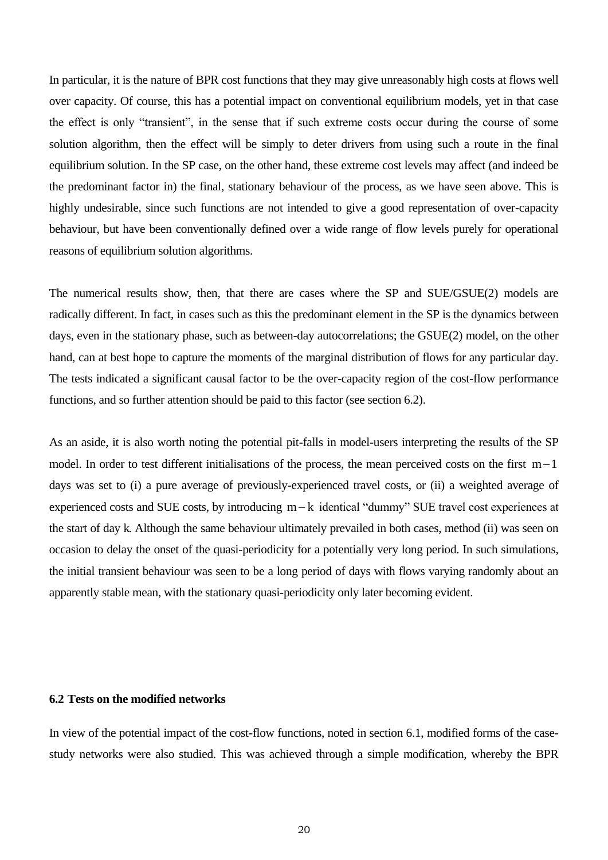In particular, it is the nature of BPR cost functions that they may give unreasonably high costs at flows well over capacity. Of course, this has a potential impact on conventional equilibrium models, yet in that case the effect is only "transient", in the sense that if such extreme costs occur during the course of some solution algorithm, then the effect will be simply to deter drivers from using such a route in the final equilibrium solution. In the SP case, on the other hand, these extreme cost levels may affect (and indeed be the predominant factor in) the final, stationary behaviour of the process, as we have seen above. This is highly undesirable, since such functions are not intended to give a good representation of over-capacity behaviour, but have been conventionally defined over a wide range of flow levels purely for operational reasons of equilibrium solution algorithms.

The numerical results show, then, that there are cases where the SP and SUE/GSUE(2) models are radically different. In fact, in cases such as this the predominant element in the SP is the dynamics between days, even in the stationary phase, such as between-day autocorrelations; the GSUE(2) model, on the other hand, can at best hope to capture the moments of the marginal distribution of flows for any particular day. The tests indicated a significant causal factor to be the over-capacity region of the cost-flow performance functions, and so further attention should be paid to this factor (see section 6.2).

As an aside, it is also worth noting the potential pit-falls in model-users interpreting the results of the SP model. In order to test different initialisations of the process, the mean perceived costs on the first  $m-1$ days was set to (i) a pure average of previously-experienced travel costs, or (ii) a weighted average of experienced costs and SUE costs, by introducing  $m - k$  identical "dummy" SUE travel cost experiences at the start of day k. Although the same behaviour ultimately prevailed in both cases, method (ii) was seen on occasion to delay the onset of the quasi-periodicity for a potentially very long period. In such simulations, the initial transient behaviour was seen to be a long period of days with flows varying randomly about an apparently stable mean, with the stationary quasi-periodicity only later becoming evident.

# **6.2 Tests on the modified networks**

In view of the potential impact of the cost-flow functions, noted in section 6.1, modified forms of the casestudy networks were also studied. This was achieved through a simple modification, whereby the BPR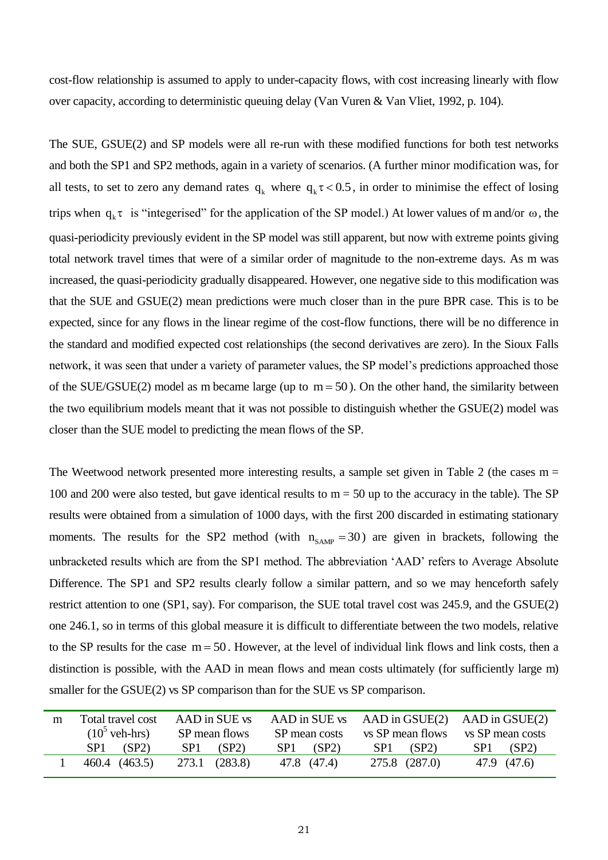cost-flow relationship is assumed to apply to under-capacity flows, with cost increasing linearly with flow over capacity, according to deterministic queuing delay (Van Vuren & Van Vliet, 1992, p. 104).

The SUE, GSUE(2) and SP models were all re-run with these modified functions for both test networks and both the SP1 and SP2 methods, again in a variety of scenarios. (A further minor modification was, for all tests, to set to zero any demand rates  $q_k$  where  $q_k \tau < 0.5$ , in order to minimise the effect of losing trips when  $q_k \tau$  is "integerised" for the application of the SP model.) At lower values of m and/or  $\omega$ , the quasi-periodicity previously evident in the SP model was still apparent, but now with extreme points giving total network travel times that were of a similar order of magnitude to the non-extreme days. As m was increased, the quasi-periodicity gradually disappeared. However, one negative side to this modification was that the SUE and GSUE(2) mean predictions were much closer than in the pure BPR case. This is to be expected, since for any flows in the linear regime of the cost-flow functions, there will be no difference in the standard and modified expected cost relationships (the second derivatives are zero). In the Sioux Falls network, it was seen that under a variety of parameter values, the SP model's predictions approached those of the SUE/GSUE(2) model as m became large (up to  $m = 50$ ). On the other hand, the similarity between the two equilibrium models meant that it was not possible to distinguish whether the GSUE(2) model was closer than the SUE model to predicting the mean flows of the SP.

The Weetwood network presented more interesting results, a sample set given in Table 2 (the cases  $m =$ 100 and 200 were also tested, but gave identical results to  $m = 50$  up to the accuracy in the table). The SP results were obtained from a simulation of 1000 days, with the first 200 discarded in estimating stationary moments. The results for the SP2 method (with  $n_{SAMP} = 30$ ) are given in brackets, following the unbracketed results which are from the SP1 method. The abbreviation 'AAD' refers to Average Absolute Difference. The SP1 and SP2 results clearly follow a similar pattern, and so we may henceforth safely restrict attention to one (SP1, say). For comparison, the SUE total travel cost was 245.9, and the GSUE(2) one 246.1, so in terms of this global measure it is difficult to differentiate between the two models, relative to the SP results for the case  $m = 50$ . However, at the level of individual link flows and link costs, then a distinction is possible, with the AAD in mean flows and mean costs ultimately (for sufficiently large m) smaller for the GSUE(2) vs SP comparison than for the SUE vs SP comparison.

| m | Total travel cost        | AAD in SUE vs            | AAD in SUE vs            | $AAD$ in $GSUE(2)$ $AAD$ in $GSUE(2)$ |                  |
|---|--------------------------|--------------------------|--------------------------|---------------------------------------|------------------|
|   | $(10^5 \text{ veh-hrs})$ | SP mean flows            | SP mean costs            | vs SP mean flows                      | vs SP mean costs |
|   | SP <sub>1</sub><br>(SP2) | (SP2)<br>SP <sub>1</sub> | SP <sub>1</sub><br>(SP2) | SP <sub>1</sub><br>(SP2)              | (SP2)<br>SP1     |
|   | 460.4 (463.5)            | 273.1 (283.8)            | 47.8 (47.4)              | 275.8 (287.0)                         | 47.9 (47.6)      |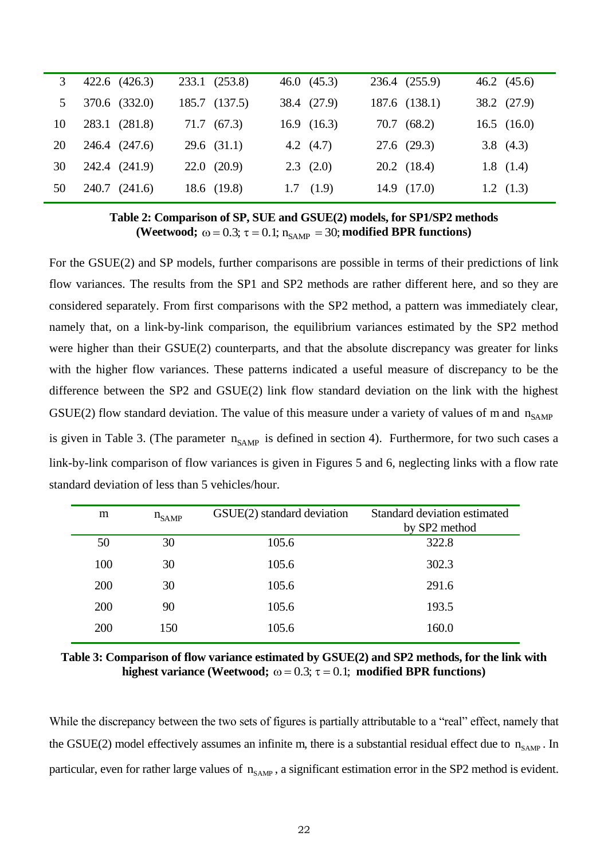|    | 422.6 (426.3) | 233.1 (253.8)   | 46.0 $(45.3)$     | 236.4 (255.9)   | 46.2 $(45.6)$     |
|----|---------------|-----------------|-------------------|-----------------|-------------------|
|    | 370.6 (332.0) | 185.7 (137.5)   | 38.4 (27.9)       | 187.6 (138.1)   | 38.2 (27.9)       |
| 10 | 283.1 (281.8) | 71.7 (67.3)     | 16.9(16.3)        | 70.7 (68.2)     | $16.5$ $(16.0)$   |
| 20 | 246.4 (247.6) | $29.6$ $(31.1)$ | 4.2 $(4.7)$       | 27.6 (29.3)     | 3.8 $(4.3)$       |
| 30 | 242.4 (241.9) | 22.0(20.9)      | $2.3$ $(2.0)$     | $20.2$ $(18.4)$ | 1.8(1.4)          |
| 50 | 240.7 (241.6) | 18.6 (19.8)     | $1.7 \quad (1.9)$ | $14.9$ $(17.0)$ | $1.2 \quad (1.3)$ |

**Table 2: Comparison of SP, SUE and GSUE(2) models, for SP1/SP2 methods (Weetwood;**  $\omega = 0.3$ ;  $\tau = 0.1$ ;  $n_{SAMP} = 30$ ; modified BPR functions)

For the GSUE(2) and SP models, further comparisons are possible in terms of their predictions of link flow variances. The results from the SP1 and SP2 methods are rather different here, and so they are considered separately. From first comparisons with the SP2 method, a pattern was immediately clear, namely that, on a link-by-link comparison, the equilibrium variances estimated by the SP2 method were higher than their GSUE(2) counterparts, and that the absolute discrepancy was greater for links with the higher flow variances. These patterns indicated a useful measure of discrepancy to be the difference between the SP2 and GSUE(2) link flow standard deviation on the link with the highest GSUE(2) flow standard deviation. The value of this measure under a variety of values of m and  $n_{SAMP}$ is given in Table 3. (The parameter  $n_{SAMP}$  is defined in section 4). Furthermore, for two such cases a link-by-link comparison of flow variances is given in Figures 5 and 6, neglecting links with a flow rate standard deviation of less than 5 vehicles/hour.

| m   | $n_{SAMP}$ | GSUE(2) standard deviation | Standard deviation estimated<br>by SP2 method |
|-----|------------|----------------------------|-----------------------------------------------|
| 50  | 30         | 105.6                      | 322.8                                         |
| 100 | 30         | 105.6                      | 302.3                                         |
| 200 | 30         | 105.6                      | 291.6                                         |
| 200 | 90         | 105.6                      | 193.5                                         |
| 200 | 150        | 105.6                      | 160.0                                         |

**Table 3: Comparison of flow variance estimated by GSUE(2) and SP2 methods, for the link with**  highest variance (Weetwood;  $\omega = 0.3$ ;  $\tau = 0.1$ ; modified BPR functions)

While the discrepancy between the two sets of figures is partially attributable to a "real" effect, namely that the GSUE(2) model effectively assumes an infinite m, there is a substantial residual effect due to  $n_{SAMP}$ . In particular, even for rather large values of  $n_{SAMP}$ , a significant estimation error in the SP2 method is evident.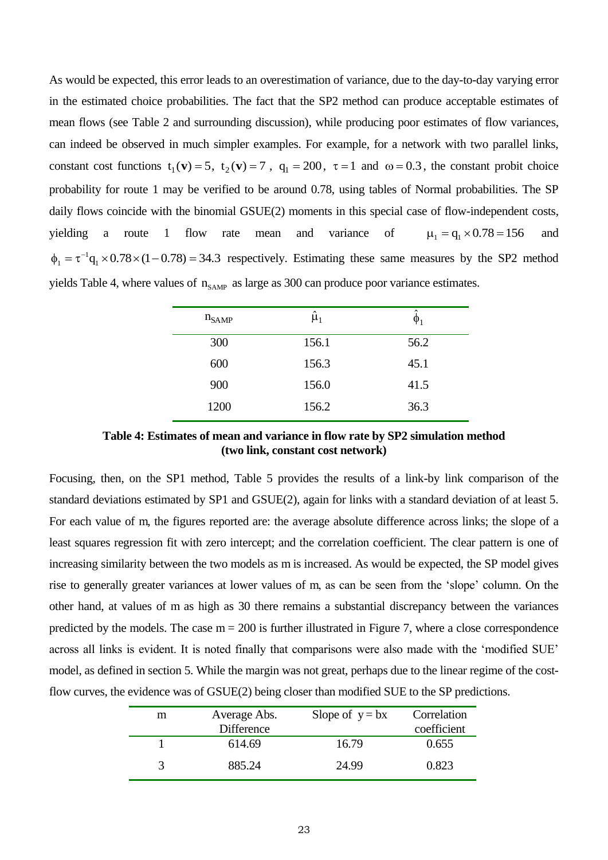As would be expected, this error leads to an overestimation of variance, due to the day-to-day varying error in the estimated choice probabilities. The fact that the SP2 method can produce acceptable estimates of mean flows (see Table 2 and surrounding discussion), while producing poor estimates of flow variances, can indeed be observed in much simpler examples. For example, for a network with two parallel links, constant cost functions  $t_1(v) = 5$ ,  $t_2(v) = 7$ ,  $q_1 = 200$ ,  $\tau = 1$  and  $\omega = 0.3$ , the constant probit choice probability for route 1 may be verified to be around 0.78, using tables of Normal probabilities. The SP daily flows coincide with the binomial GSUE(2) moments in this special case of flow-independent costs, yielding a route 1 flow rate mean and variance of  $\mu_1 = q_1 \times 0.78 = 156$  and  $_1 \times 0.78 \times (1 - 0.78) = 34.3$  $\phi_1 = \tau^{-1} q_1 \times 0.78 \times (1 - 0.78) = 34.3$  respectively. Estimating these same measures by the SP2 method yields Table 4, where values of  $n_{SAMP}$  as large as 300 can produce poor variance estimates.

| $n_{SAMP}$ | $\hat{\mu}_1$ | $\hat{\phantom{a}}$<br>$\boldsymbol{\varphi}_1$ |
|------------|---------------|-------------------------------------------------|
| 300        | 156.1         | 56.2                                            |
| 600        | 156.3         | 45.1                                            |
| 900        | 156.0         | 41.5                                            |
| 1200       | 156.2         | 36.3                                            |

**Table 4: Estimates of mean and variance in flow rate by SP2 simulation method (two link, constant cost network)** 

Focusing, then, on the SP1 method, Table 5 provides the results of a link-by link comparison of the standard deviations estimated by SP1 and GSUE(2), again for links with a standard deviation of at least 5. For each value of m, the figures reported are: the average absolute difference across links; the slope of a least squares regression fit with zero intercept; and the correlation coefficient. The clear pattern is one of increasing similarity between the two models as m is increased. As would be expected, the SP model gives rise to generally greater variances at lower values of m, as can be seen from the 'slope' column. On the other hand, at values of m as high as 30 there remains a substantial discrepancy between the variances predicted by the models. The case  $m = 200$  is further illustrated in Figure 7, where a close correspondence across all links is evident. It is noted finally that comparisons were also made with the 'modified SUE' model, as defined in section 5. While the margin was not great, perhaps due to the linear regime of the costflow curves, the evidence was of GSUE(2) being closer than modified SUE to the SP predictions.

| m | Average Abs.<br>Difference | Slope of $y = bx$ | Correlation<br>coefficient |
|---|----------------------------|-------------------|----------------------------|
|   | 614.69                     | 16.79             | 0.655                      |
| 3 | 885.24                     | 24.99             | 0.823                      |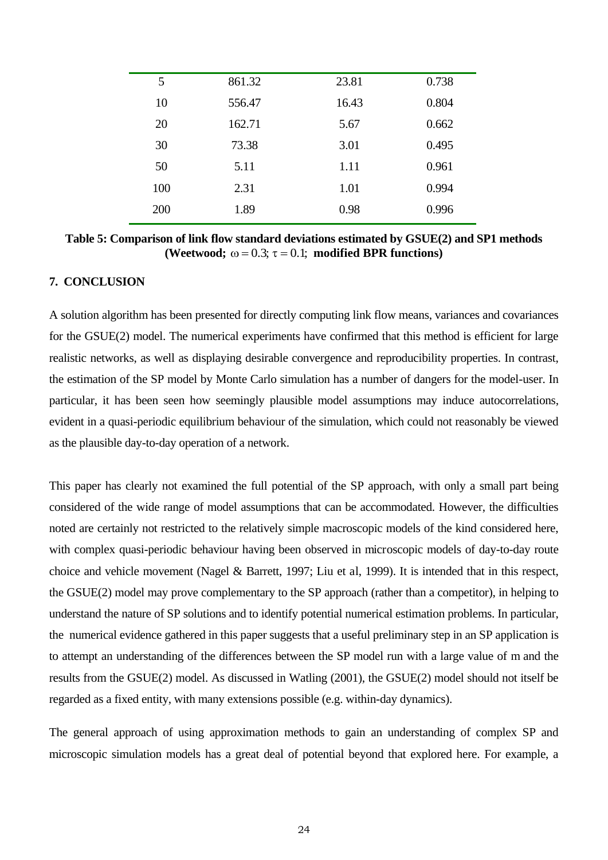| 5   | 861.32 | 23.81 | 0.738 |
|-----|--------|-------|-------|
| 10  | 556.47 | 16.43 | 0.804 |
| 20  | 162.71 | 5.67  | 0.662 |
| 30  | 73.38  | 3.01  | 0.495 |
| 50  | 5.11   | 1.11  | 0.961 |
| 100 | 2.31   | 1.01  | 0.994 |
| 200 | 1.89   | 0.98  | 0.996 |
|     |        |       |       |

**Table 5: Comparison of link flow standard deviations estimated by GSUE(2) and SP1 methods (Weetwood;**  $\omega = 0.3$ ;  $\tau = 0.1$ ; **modified BPR functions)** 

### **7. CONCLUSION**

A solution algorithm has been presented for directly computing link flow means, variances and covariances for the GSUE(2) model. The numerical experiments have confirmed that this method is efficient for large realistic networks, as well as displaying desirable convergence and reproducibility properties. In contrast, the estimation of the SP model by Monte Carlo simulation has a number of dangers for the model-user. In particular, it has been seen how seemingly plausible model assumptions may induce autocorrelations, evident in a quasi-periodic equilibrium behaviour of the simulation, which could not reasonably be viewed as the plausible day-to-day operation of a network.

This paper has clearly not examined the full potential of the SP approach, with only a small part being considered of the wide range of model assumptions that can be accommodated. However, the difficulties noted are certainly not restricted to the relatively simple macroscopic models of the kind considered here, with complex quasi-periodic behaviour having been observed in microscopic models of day-to-day route choice and vehicle movement (Nagel & Barrett, 1997; Liu et al, 1999). It is intended that in this respect, the GSUE(2) model may prove complementary to the SP approach (rather than a competitor), in helping to understand the nature of SP solutions and to identify potential numerical estimation problems. In particular, the numerical evidence gathered in this paper suggests that a useful preliminary step in an SP application is to attempt an understanding of the differences between the SP model run with a large value of m and the results from the GSUE(2) model. As discussed in Watling (2001), the GSUE(2) model should not itself be regarded as a fixed entity, with many extensions possible (e.g. within-day dynamics).

The general approach of using approximation methods to gain an understanding of complex SP and microscopic simulation models has a great deal of potential beyond that explored here. For example, a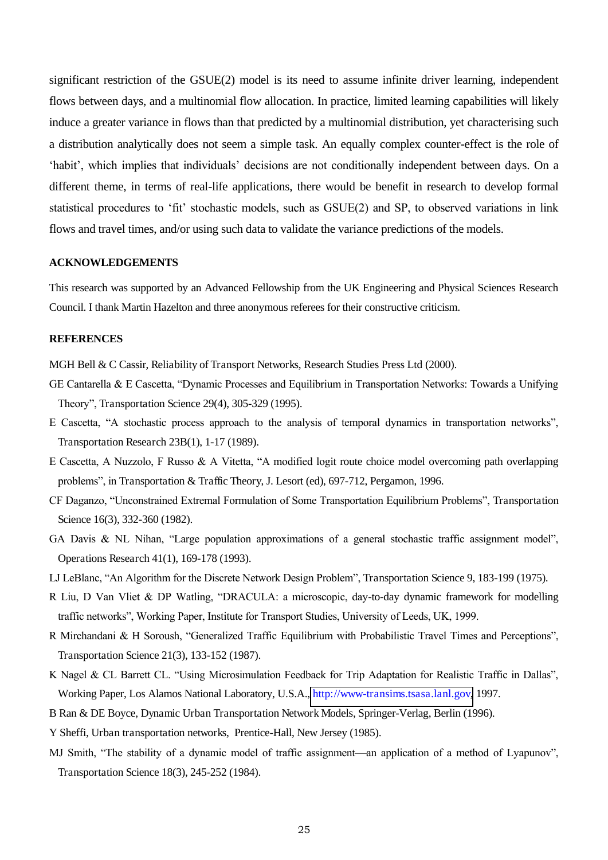significant restriction of the GSUE(2) model is its need to assume infinite driver learning, independent flows between days, and a multinomial flow allocation. In practice, limited learning capabilities will likely induce a greater variance in flows than that predicted by a multinomial distribution, yet characterising such a distribution analytically does not seem a simple task. An equally complex counter-effect is the role of 'habit', which implies that individuals' decisions are not conditionally independent between days. On a different theme, in terms of real-life applications, there would be benefit in research to develop formal statistical procedures to 'fit' stochastic models, such as GSUE(2) and SP, to observed variations in link flows and travel times, and/or using such data to validate the variance predictions of the models.

#### **ACKNOWLEDGEMENTS**

This research was supported by an Advanced Fellowship from the UK Engineering and Physical Sciences Research Council. I thank Martin Hazelton and three anonymous referees for their constructive criticism.

#### **REFERENCES**

MGH Bell & C Cassir, Reliability of Transport Networks, Research Studies Press Ltd (2000).

- GE Cantarella & E Cascetta, "Dynamic Processes and Equilibrium in Transportation Networks: Towards a Unifying Theory", Transportation Science 29(4), 305-329 (1995).
- E Cascetta, "A stochastic process approach to the analysis of temporal dynamics in transportation networks", Transportation Research 23B(1), 1-17 (1989).
- E Cascetta, A Nuzzolo, F Russo & A Vitetta, "A modified logit route choice model overcoming path overlapping problems", in Transportation & Traffic Theory, J. Lesort (ed), 697-712, Pergamon, 1996.
- CF Daganzo, "Unconstrained Extremal Formulation of Some Transportation Equilibrium Problems", Transportation Science 16(3), 332-360 (1982).
- GA Davis & NL Nihan, "Large population approximations of a general stochastic traffic assignment model", Operations Research 41(1), 169-178 (1993).
- LJ LeBlanc, "An Algorithm for the Discrete Network Design Problem", Transportation Science 9, 183-199 (1975).
- R Liu, D Van Vliet & DP Watling, "DRACULA: a microscopic, day-to-day dynamic framework for modelling traffic networks", Working Paper, Institute for Transport Studies, University of Leeds, UK, 1999.
- R Mirchandani & H Soroush, "Generalized Traffic Equilibrium with Probabilistic Travel Times and Perceptions", Transportation Science 21(3), 133-152 (1987).
- K Nagel & CL Barrett CL. "Using Microsimulation Feedback for Trip Adaptation for Realistic Traffic in Dallas", Working Paper, Los Alamos National Laboratory, U.S.A., [http://www-transims.tsasa.lanl.gov,](http://www-transims.tsasa.lanl.gov/) 1997.
- B Ran & DE Boyce, Dynamic Urban Transportation Network Models, Springer-Verlag, Berlin (1996).
- Y Sheffi, Urban transportation networks, Prentice-Hall, New Jersey (1985).
- MJ Smith, "The stability of a dynamic model of traffic assignment—an application of a method of Lyapunov", Transportation Science 18(3), 245-252 (1984).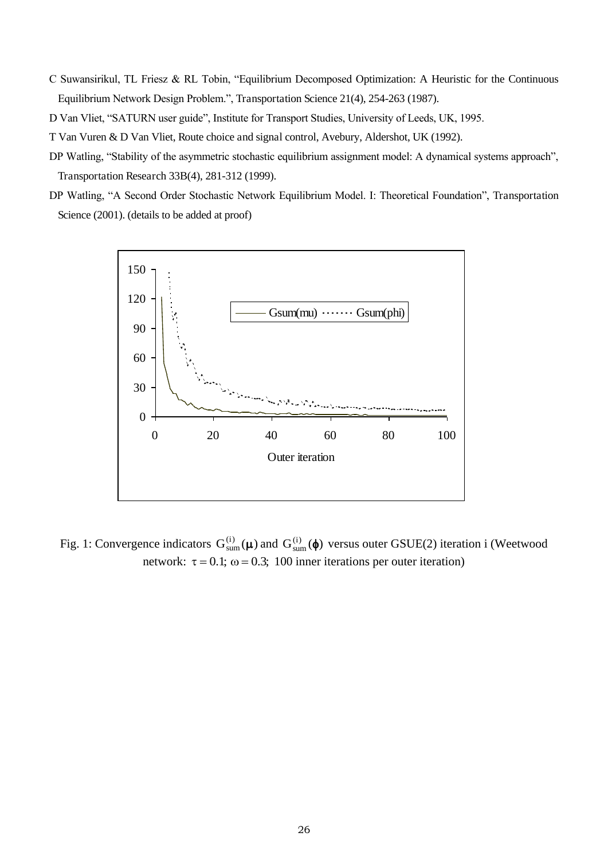- C Suwansirikul, TL Friesz & RL Tobin, "Equilibrium Decomposed Optimization: A Heuristic for the Continuous Equilibrium Network Design Problem.", Transportation Science 21(4), 254-263 (1987).
- D Van Vliet, "SATURN user guide", Institute for Transport Studies, University of Leeds, UK, 1995.
- T Van Vuren & D Van Vliet, Route choice and signal control, Avebury, Aldershot, UK (1992).
- DP Watling, "Stability of the asymmetric stochastic equilibrium assignment model: A dynamical systems approach", Transportation Research 33B(4), 281-312 (1999).
- DP Watling, "A Second Order Stochastic Network Equilibrium Model. I: Theoretical Foundation", Transportation Science (2001). (details to be added at proof)



Fig. 1: Convergence indicators  $G_{sum}^{(i)}(\mu)$  and  $G_{sum}^{(i)}(\phi)$  versus outer GSUE(2) iteration i (Weetwood network:  $\tau = 0.1$ ;  $\omega = 0.3$ ; 100 inner iterations per outer iteration)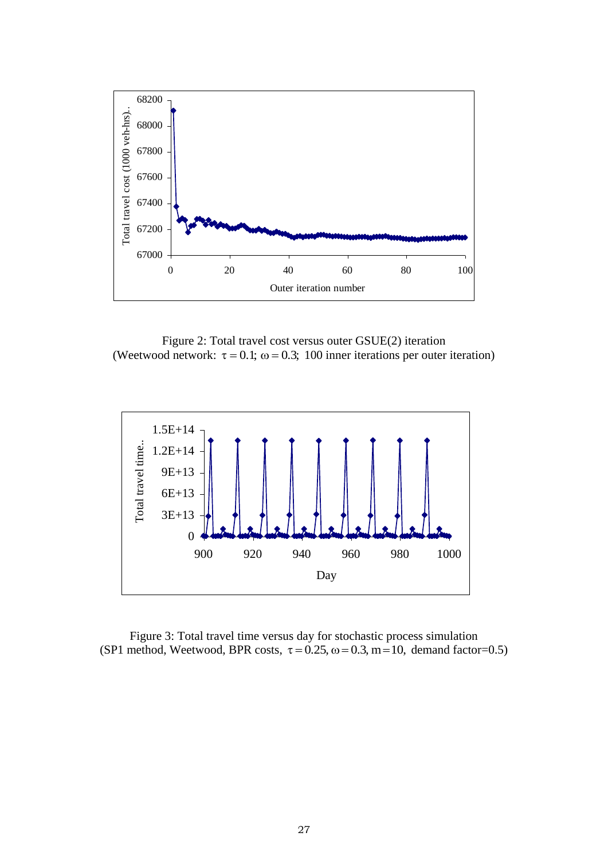

Figure 2: Total travel cost versus outer GSUE(2) iteration (Weetwood network:  $\tau = 0.1$ ;  $\omega = 0.3$ ; 100 inner iterations per outer iteration)



Figure 3: Total travel time versus day for stochastic process simulation (SP1 method, Weetwood, BPR costs,  $\tau = 0.25$ ,  $\omega = 0.3$ , m = 10, demand factor=0.5)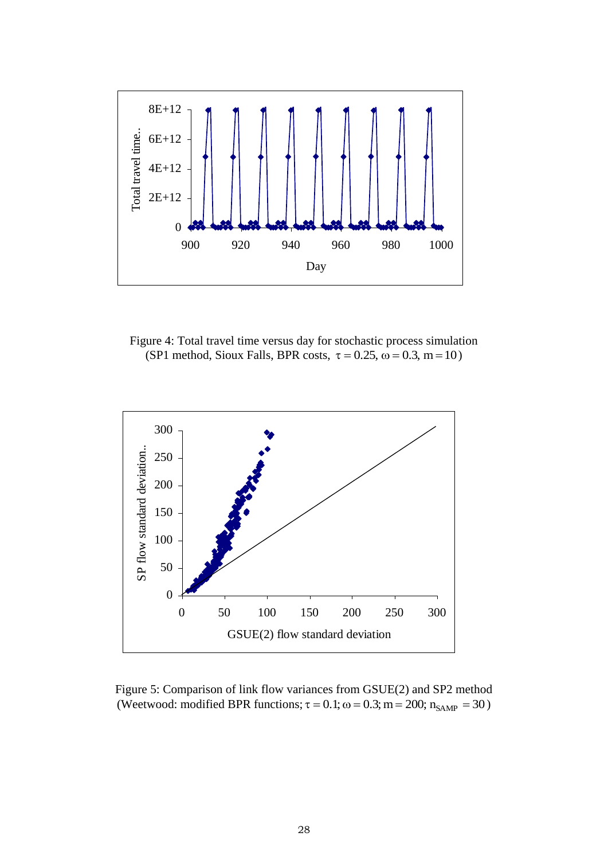

Figure 4: Total travel time versus day for stochastic process simulation (SP1 method, Sioux Falls, BPR costs,  $\tau = 0.25$ ,  $\omega = 0.3$ , m = 10)



Figure 5: Comparison of link flow variances from GSUE(2) and SP2 method (Weetwood: modified BPR functions;  $\tau = 0.1$ ;  $\omega = 0.3$ ;  $m = 200$ ;  $n_{SAMP} = 30$ )